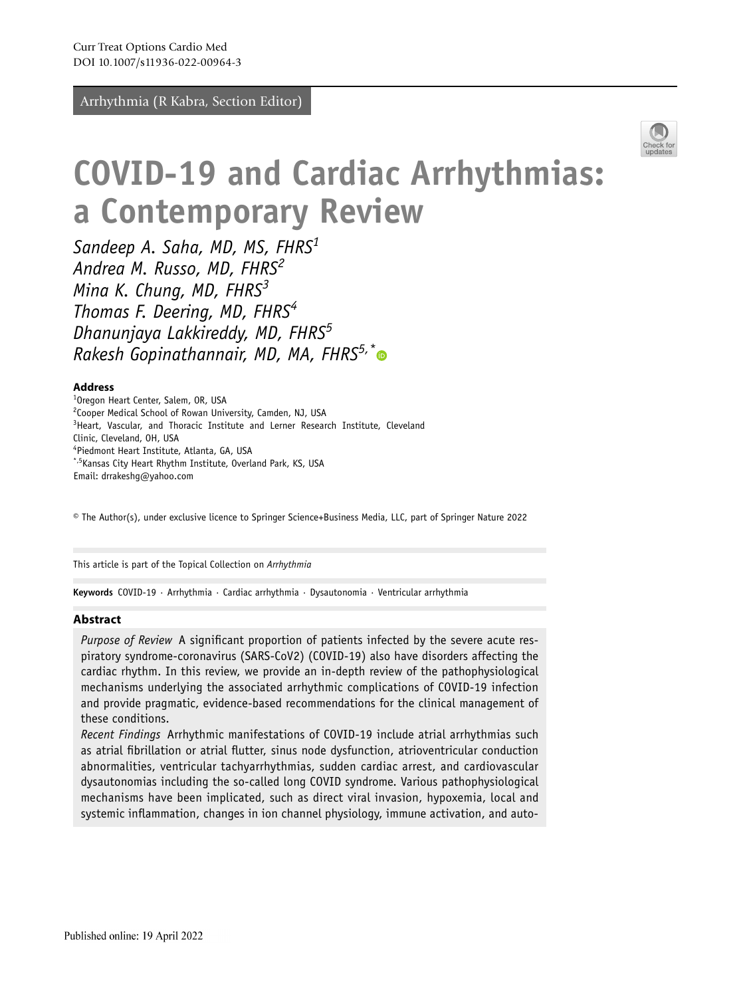Arrhythmia (R Kabra, Section Editor)



# **COVID‑19 and Cardiac Arrhythmias: a Contemporary Review**

*Sandeep A. Saha, MD, MS, FHRS1 Andrea M. Russo, MD, FHRS<sup>2</sup> Mina K. Chung, MD, FHRS<sup>3</sup> Thomas F. Deering, MD, FHRS<sup>4</sup> Dhanunjaya Lakkireddy, MD, FHRS<sup>5</sup> Rakesh Gopinathannair, MD, MA, FHRS5,[\\*](http://orcid.org/0000-0003-4611-3687)*

#### **Address**

<sup>1</sup>Oregon Heart Center, Salem, OR, USA <sup>2</sup>Cooper Medical School of Rowan University, Camden, NJ, USA <sup>3</sup>Heart, Vascular, and Thoracic Institute and Lerner Research Institute, Cleveland Clinic, Cleveland, OH, USA 4 Piedmont Heart Institute, Atlanta, GA, USA \*,5Kansas City Heart Rhythm Institute, Overland Park, KS, USA Email: drrakeshg@yahoo.com

© The Author(s), under exclusive licence to Springer Science+Business Media, LLC, part of Springer Nature 2022

This article is part of the Topical Collection on *Arrhythmia*

**Keywords** COVID-19 · Arrhythmia · Cardiac arrhythmia · Dysautonomia · Ventricular arrhythmia

### **Abstract**

*Purpose of Review* A signifcant proportion of patients infected by the severe acute respiratory syndrome-coronavirus (SARS-CoV2) (COVID-19) also have disorders affecting the cardiac rhythm. In this review, we provide an in-depth review of the pathophysiological mechanisms underlying the associated arrhythmic complications of COVID-19 infection and provide pragmatic, evidence-based recommendations for the clinical management of these conditions.

*Recent Findings* Arrhythmic manifestations of COVID-19 include atrial arrhythmias such as atrial fbrillation or atrial futter, sinus node dysfunction, atrioventricular conduction abnormalities, ventricular tachyarrhythmias, sudden cardiac arrest, and cardiovascular dysautonomias including the so-called long COVID syndrome. Various pathophysiological mechanisms have been implicated, such as direct viral invasion, hypoxemia, local and systemic infammation, changes in ion channel physiology, immune activation, and auto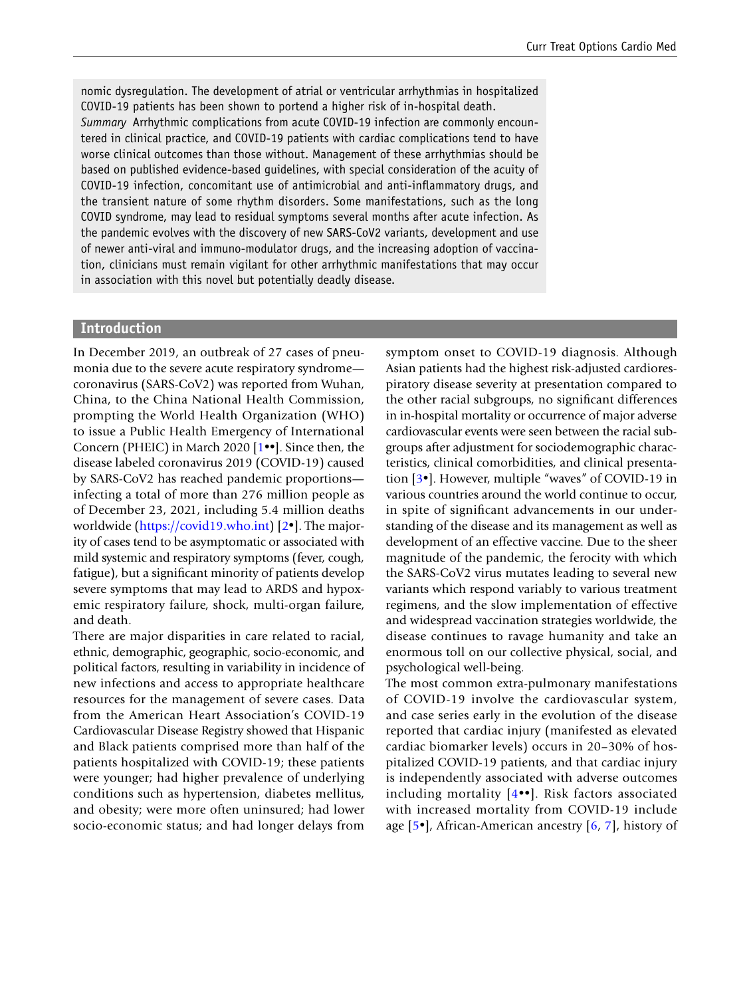nomic dysregulation. The development of atrial or ventricular arrhythmias in hospitalized COVID-19 patients has been shown to portend a higher risk of in-hospital death. *Summary* Arrhythmic complications from acute COVID-19 infection are commonly encountered in clinical practice, and COVID-19 patients with cardiac complications tend to have worse clinical outcomes than those without. Management of these arrhythmias should be based on published evidence-based guidelines, with special consideration of the acuity of COVID-19 infection, concomitant use of antimicrobial and anti-infammatory drugs, and the transient nature of some rhythm disorders. Some manifestations, such as the long COVID syndrome, may lead to residual symptoms several months after acute infection. As the pandemic evolves with the discovery of new SARS-CoV2 variants, development and use of newer anti-viral and immuno-modulator drugs, and the increasing adoption of vaccination, clinicians must remain vigilant for other arrhythmic manifestations that may occur in association with this novel but potentially deadly disease.

#### **Introduction**

In December 2019, an outbreak of 27 cases of pneumonia due to the severe acute respiratory syndrome coronavirus (SARS-CoV2) was reported from Wuhan, China, to the China National Health Commission, prompting the World Health Organization (WHO) to issue a Public Health Emergency of International Concern (PHEIC) in March 2020 [\[1•](#page-18-0)•]. Since then, the disease labeled coronavirus 2019 (COVID-19) caused by SARS-CoV2 has reached pandemic proportions infecting a total of more than 276 million people as of December 23, 2021, including 5.4 million deaths worldwide ([https://covid19.who.int\)](https://covid19.who.int) [\[2](#page-18-1)•]. The majority of cases tend to be asymptomatic or associated with mild systemic and respiratory symptoms (fever, cough, fatigue), but a signifcant minority of patients develop severe symptoms that may lead to ARDS and hypoxemic respiratory failure, shock, multi-organ failure, and death.

There are major disparities in care related to racial, ethnic, demographic, geographic, socio-economic, and political factors, resulting in variability in incidence of new infections and access to appropriate healthcare resources for the management of severe cases. Data from the American Heart Association's COVID-19 Cardiovascular Disease Registry showed that Hispanic and Black patients comprised more than half of the patients hospitalized with COVID-19; these patients were younger; had higher prevalence of underlying conditions such as hypertension, diabetes mellitus, and obesity; were more often uninsured; had lower socio-economic status; and had longer delays from

symptom onset to COVID-19 diagnosis. Although Asian patients had the highest risk-adjusted cardiorespiratory disease severity at presentation compared to the other racial subgroups, no signifcant differences in in-hospital mortality or occurrence of major adverse cardiovascular events were seen between the racial subgroups after adjustment for sociodemographic characteristics, clinical comorbidities, and clinical presentation [\[3•](#page-18-2)]. However, multiple "waves" of COVID-19 in various countries around the world continue to occur, in spite of signifcant advancements in our understanding of the disease and its management as well as development of an effective vaccine. Due to the sheer magnitude of the pandemic, the ferocity with which the SARS-CoV2 virus mutates leading to several new variants which respond variably to various treatment regimens, and the slow implementation of effective and widespread vaccination strategies worldwide, the disease continues to ravage humanity and take an enormous toll on our collective physical, social, and psychological well-being.

The most common extra-pulmonary manifestations of COVID-19 involve the cardiovascular system, and case series early in the evolution of the disease reported that cardiac injury (manifested as elevated cardiac biomarker levels) occurs in 20–30% of hospitalized COVID-19 patients, and that cardiac injury is independently associated with adverse outcomes including mortality [[4•](#page-18-3)•]. Risk factors associated with increased mortality from COVID-19 include age [\[5•](#page-18-4)], African-American ancestry [[6](#page-18-5), [7](#page-18-6)], history of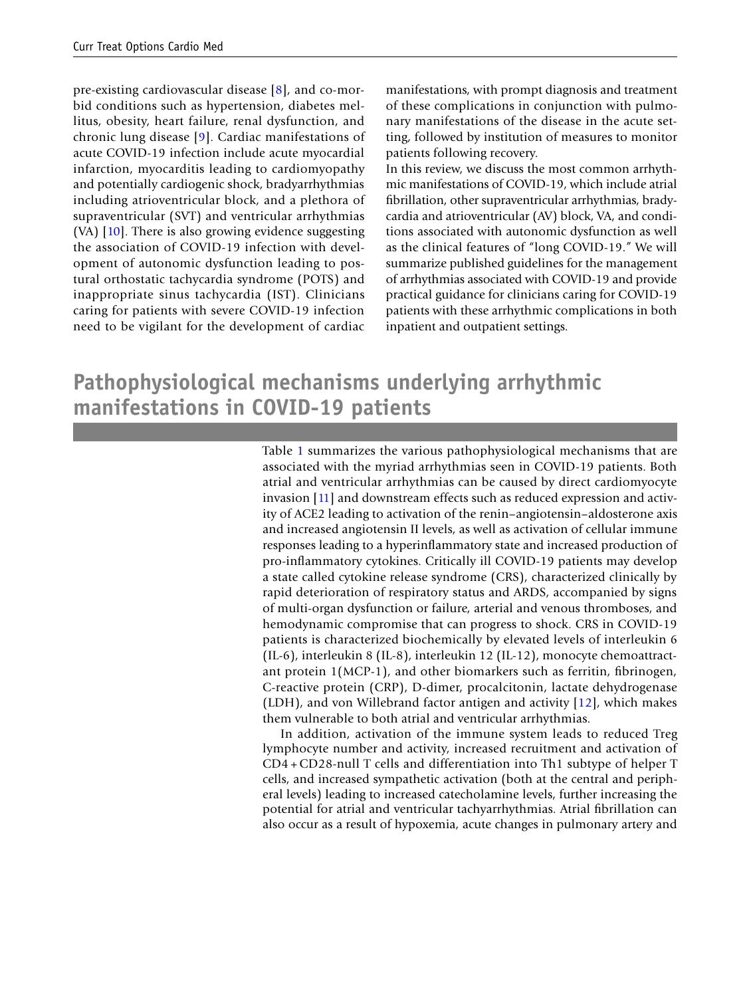pre-existing cardiovascular disease [\[8](#page-18-7)], and co-morbid conditions such as hypertension, diabetes mellitus, obesity, heart failure, renal dysfunction, and chronic lung disease [\[9](#page-18-8)]. Cardiac manifestations of acute COVID-19 infection include acute myocardial infarction, myocarditis leading to cardiomyopathy and potentially cardiogenic shock, bradyarrhythmias including atrioventricular block, and a plethora of supraventricular (SVT) and ventricular arrhythmias (VA)  $[10]$  $[10]$  $[10]$ . There is also growing evidence suggesting the association of COVID-19 infection with development of autonomic dysfunction leading to postural orthostatic tachycardia syndrome (POTS) and inappropriate sinus tachycardia (IST). Clinicians caring for patients with severe COVID-19 infection need to be vigilant for the development of cardiac

manifestations, with prompt diagnosis and treatment of these complications in conjunction with pulmonary manifestations of the disease in the acute setting, followed by institution of measures to monitor patients following recovery.

In this review, we discuss the most common arrhythmic manifestations of COVID-19, which include atrial fbrillation, other supraventricular arrhythmias, bradycardia and atrioventricular (AV) block, VA, and conditions associated with autonomic dysfunction as well as the clinical features of "long COVID-19." We will summarize published guidelines for the management of arrhythmias associated with COVID-19 and provide practical guidance for clinicians caring for COVID-19 patients with these arrhythmic complications in both inpatient and outpatient settings.

## **Pathophysiological mechanisms underlying arrhythmic manifestations in COVID‑19 patients**

Table [1](#page-3-0) summarizes the various pathophysiological mechanisms that are associated with the myriad arrhythmias seen in COVID-19 patients. Both atrial and ventricular arrhythmias can be caused by direct cardiomyocyte invasion [[11\]](#page-18-10) and downstream effects such as reduced expression and activity of ACE2 leading to activation of the renin–angiotensin–aldosterone axis and increased angiotensin II levels, as well as activation of cellular immune responses leading to a hyperinfammatory state and increased production of pro-infammatory cytokines. Critically ill COVID-19 patients may develop a state called cytokine release syndrome (CRS), characterized clinically by rapid deterioration of respiratory status and ARDS, accompanied by signs of multi-organ dysfunction or failure, arterial and venous thromboses, and hemodynamic compromise that can progress to shock. CRS in COVID-19 patients is characterized biochemically by elevated levels of interleukin 6 (IL-6), interleukin 8 (IL-8), interleukin 12 (IL-12), monocyte chemoattractant protein 1(MCP-1), and other biomarkers such as ferritin, fbrinogen, C-reactive protein (CRP), D-dimer, procalcitonin, lactate dehydrogenase (LDH), and von Willebrand factor antigen and activity [[12\]](#page-18-11), which makes them vulnerable to both atrial and ventricular arrhythmias.

In addition, activation of the immune system leads to reduced Treg lymphocyte number and activity, increased recruitment and activation of CD4 +CD28-null T cells and differentiation into Th1 subtype of helper T cells, and increased sympathetic activation (both at the central and peripheral levels) leading to increased catecholamine levels, further increasing the potential for atrial and ventricular tachyarrhythmias. Atrial fbrillation can also occur as a result of hypoxemia, acute changes in pulmonary artery and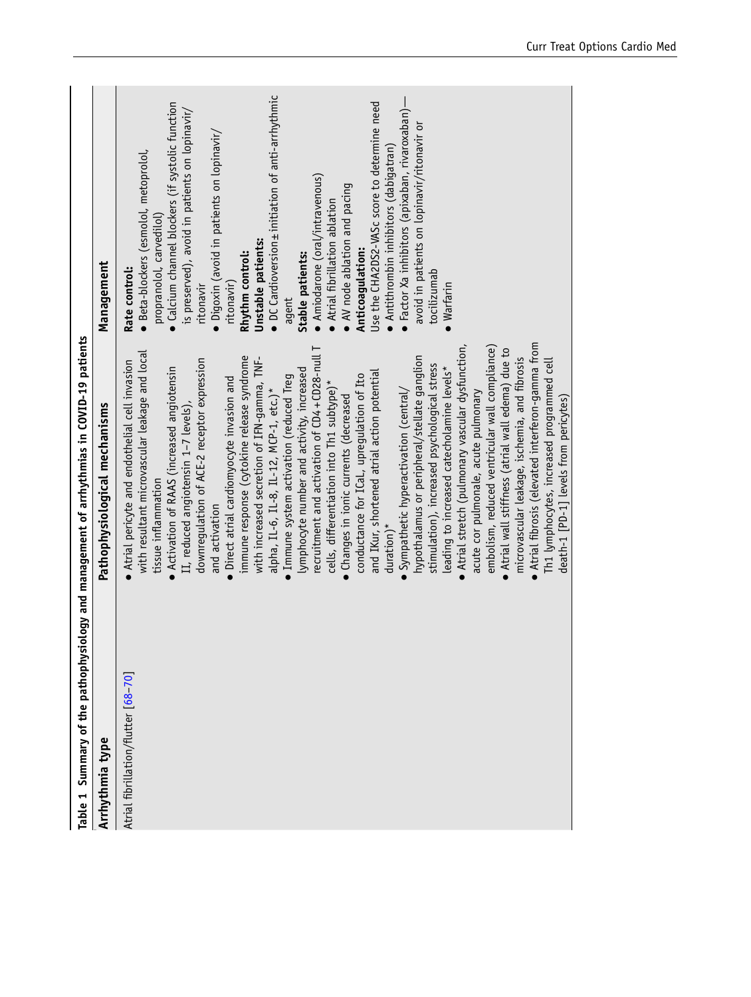<span id="page-3-0"></span>

| Table 1 Summary of the pathophysi<br>Arrhythmia type | iology and management of arrhythmias in COVID-19 patients<br>Pathophysiological mechanisms                                                                                                                                                                                                                                                                                                                                                                                                                                                                                                                                                                                                                                                                                                                                                                                                                                                                                                                                                                                                                                                                                                                                                                                                                                                                                                   | Management                                                                                                                                                                                                                                                                                                                                                                                                                                                                                                                                                                                                                                                                                                                                             |
|------------------------------------------------------|----------------------------------------------------------------------------------------------------------------------------------------------------------------------------------------------------------------------------------------------------------------------------------------------------------------------------------------------------------------------------------------------------------------------------------------------------------------------------------------------------------------------------------------------------------------------------------------------------------------------------------------------------------------------------------------------------------------------------------------------------------------------------------------------------------------------------------------------------------------------------------------------------------------------------------------------------------------------------------------------------------------------------------------------------------------------------------------------------------------------------------------------------------------------------------------------------------------------------------------------------------------------------------------------------------------------------------------------------------------------------------------------|--------------------------------------------------------------------------------------------------------------------------------------------------------------------------------------------------------------------------------------------------------------------------------------------------------------------------------------------------------------------------------------------------------------------------------------------------------------------------------------------------------------------------------------------------------------------------------------------------------------------------------------------------------------------------------------------------------------------------------------------------------|
| Atrial fibrillation/flutter [68-70]                  | Atrial fibrosis (elevated interferon-gamma from<br>Atrial stretch (pulmonary vascular dysfunction,<br>embolism, reduced ventricular wall compliance)<br>recruitment and activation of CD4+CD28-null T<br>Atrial wall stiffness (atrial wall edema) due to<br>with resultant microvascular leakage and local<br>immune response (cytokine release syndrome<br>hypothalamus or peripheral/stellate ganglion<br>microvascular leakage, ischemia, and fibrosis<br>with increased secretion of IFN-gamma, TNF-<br>downregulation of ACE-2 receptor expression<br>Th1 lymphocytes, increased programmed cell<br>Atrial pericyte and endothelial cell invasion<br>stimulation), increased psychological stress<br>Activation of RAAS (increased angiotensin<br>leading to increased catecholamine levels*<br>lymphocyte number and activity, increased<br>and IKur, shortened atrial action potential<br>conductance for ICaL, upregulation of Ito<br>Immune system activation (reduced Treg<br>Direct atrial cardiomyocyte invasion and<br>cells, differentiation into Th1 subtype)*<br>alpha, IL-6, IL-8, IL-12, MCP-1, etc.)*<br>Sympathetic hyperactivation (central/<br>acute cor pulmonale, acute pulmonary<br>Changes in ionic currents (decreased<br>death-1 [PD-1] levels from pericytes)<br>II, reduced angiotensin 1-7 levels),<br>tissue inflammation<br>and activation<br>$duration)*$ | • DC Cardioversion + initiation of anti-arrhythmic<br>• Factor Xa inhibitors (apixaban, rivaroxaban)—<br>· Calcium channel blockers (if systolic function<br>Use the CHA2DS2-VASc score to determine need<br>is preserved), avoid in patients on lopinavir/<br>avoid in patients on lopinavir/ritonavir or<br>· Digoxin (avoid in patients on lopinavir/<br>· Antithrombin inhibitors (dabigatran)<br>· Beta-blockers (esmolol, metoprolol,<br>· Amiodarone (oral/intravenous)<br>$\bullet$ AV node ablation and pacing<br>• Atrial fibrillation ablation<br>propranolol, carvedilol)<br>Unstable patients:<br>Anticoagulation:<br>Rhythm control:<br>Stable patients:<br>Rate control:<br>tocilizumab<br>ritonavir)<br>Warfarin<br>ritonavir<br>agent |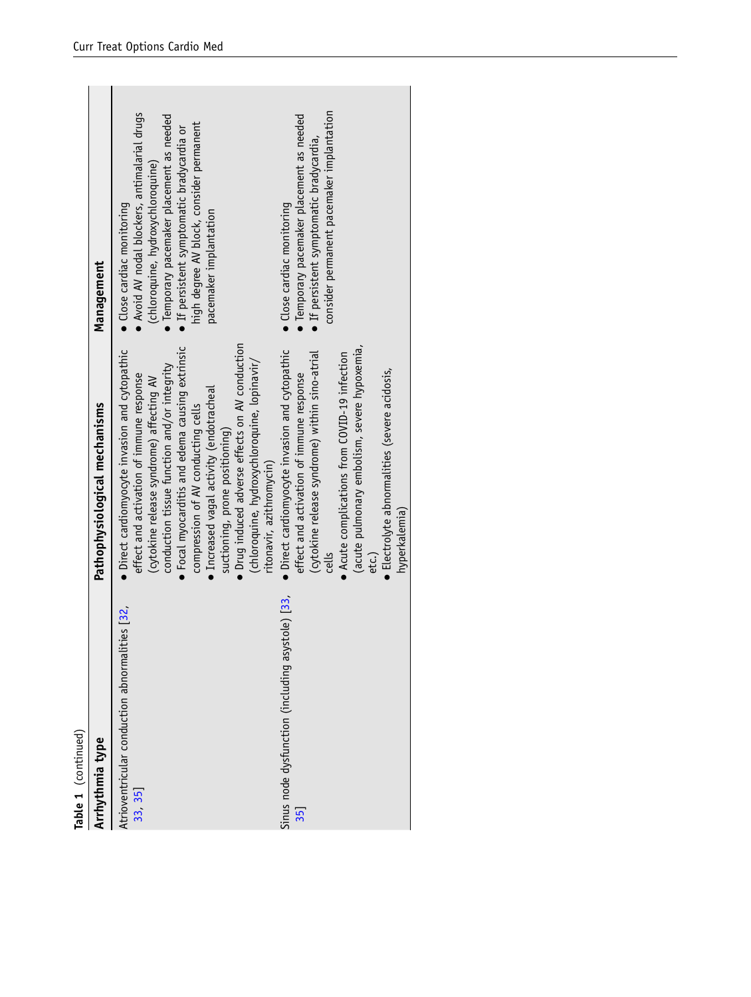| Arrhythmia type                                                          |                                                                                                                                                                                                                                                                                                                                                                                                                                                                 |                                                                                                                                                                                                                                                                                 |
|--------------------------------------------------------------------------|-----------------------------------------------------------------------------------------------------------------------------------------------------------------------------------------------------------------------------------------------------------------------------------------------------------------------------------------------------------------------------------------------------------------------------------------------------------------|---------------------------------------------------------------------------------------------------------------------------------------------------------------------------------------------------------------------------------------------------------------------------------|
|                                                                          | Pathophysiological mechanisms                                                                                                                                                                                                                                                                                                                                                                                                                                   | Management                                                                                                                                                                                                                                                                      |
| Atrioventricular conduction abnormalities [32,<br>33 35]                 | • Drug induced adverse effects on AV conduction<br>• Focal myocarditis and edema causing extrinsic<br>• Direct cardiomyocyte invasion and cytopathic<br>(chloroquine, hydroxychloroquine, lopinavir/<br>conduction tissue function and/or integrity<br>effect and activation of immune response<br>(cytokine release syndrome) affecting AV<br>• Increased vagal activity (endotracheal<br>compression of AV conducting cells<br>suctioning, prone positioning) | Avoid AV nodal blockers, antimalarial drugs<br>• Temporary pacemaker placement as needed<br>high degree AV block, consider permanent<br>• If persistent symptomatic bradycardia or<br>(chloroquine, hydroxychloroquine)<br>• Close cardiac monitoring<br>pacemaker implantation |
| cells<br>etc.)<br>Sinus node dysfunction (including asystole) [33,<br>35 | (acute pulmonary embolism, severe hypoxemia,<br>• Direct cardiomyocyte invasion and cytopathic<br>• Acute complications from COVID-19 infection<br>(cytokine release syndrome) within sino-atrial<br>• Electrolyte abnormalities (severe acidosis,<br>effect and activation of immune response<br>ritonavir, azithromycin)<br>hyperkalemia)                                                                                                                     | consider permanent pacemaker implantation<br>• Temporary pacemaker placement as needed<br>$\bullet$ If persistent symptomatic bradycardia,<br>· Close cardiac monitoring                                                                                                        |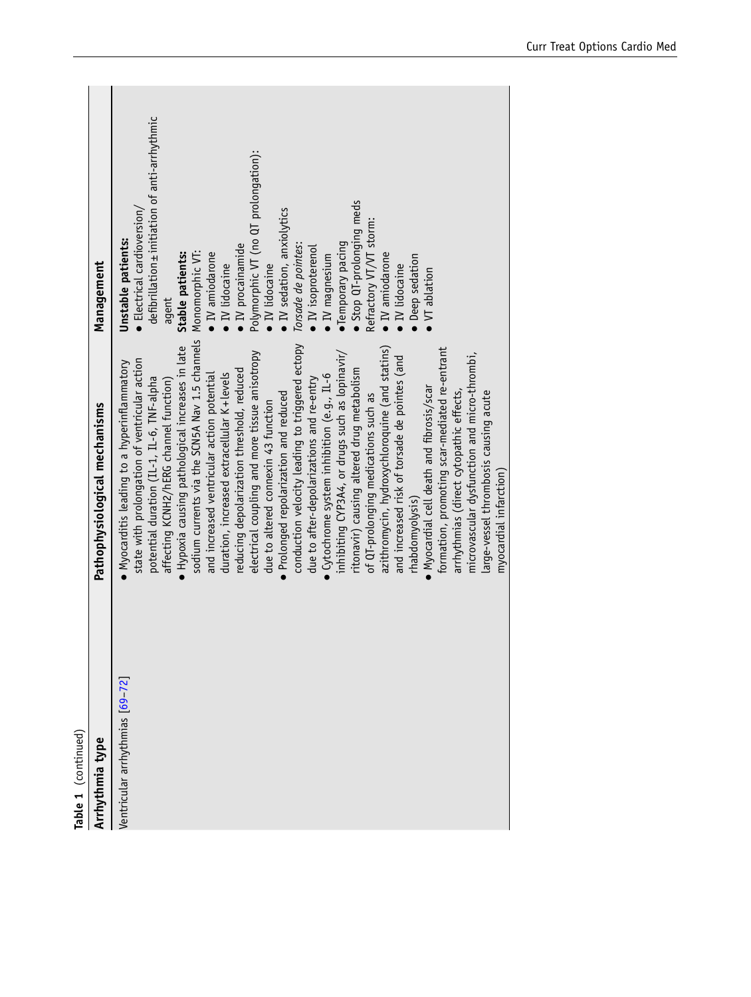| Table 1 (continued)<br>Arrhythmia type | Pathophysiological mechanisms                   | Management                                     |
|----------------------------------------|-------------------------------------------------|------------------------------------------------|
| Ventricular arrhythmias [69-72]        | Myocarditis leading to a hyperinflammatory      | Unstable patients:                             |
|                                        | state with prolongation of ventricular action   | $\bullet$ Electrical cardioversion/            |
|                                        | potential duration (IL-1, IL-6, TNF-alpha       | defibrillation ± initiation of anti-arrhythmic |
|                                        | affecting KCNH2/hERG channel function)          | agent                                          |
|                                        | Hypoxia causing pathological increases in late  | Stable patients:                               |
|                                        | sodium currents via the SCN5A Nav 1.5 channels  | Monomorphic VT:                                |
|                                        | and increased ventricular action potential      | $\bullet$ IV amiodarone                        |
|                                        | duration, increased extracellular K+levels      | · IV lidocaine                                 |
|                                        | reducing depolarization threshold, reduced      | $\bullet$ IV procainamide                      |
|                                        | electrical coupling and more tissue anisotropy  | Polymorphic VT (no QT prolongation):           |
|                                        | due to altered connexin 43 function             | $\bullet$ IV lidocaine                         |
|                                        | • Prolonged repolarization and reduced          | · IV sedation, anxiolytics                     |
|                                        | conduction velocity leading to triggered ectopy | Torsade de pointes:                            |
|                                        | due to after-depolarizations and re-entry       | $\bullet$ IV isoproterenol                     |
|                                        | Cytochrome system inhibition (e.g., IL-6        | · IV magnesium                                 |
|                                        | inhibiting CYP3A4, or drugs such as lopinavir/  | · Temporary pacing                             |
|                                        | ritonavir) causing altered drug metabolism      | Stop QT-prolonging meds                        |
|                                        | of QT-prolonging medications such as            | Refractory VT/VT storm:                        |
|                                        | azithromycin, hydroxychloroquine (and statins)  | $\bullet$ IV amiodarone                        |
|                                        | and increased risk of torsade de pointes (and   | $\bullet$ IV lidocaine                         |
|                                        | rhabdomyolysis)                                 | · Deep sedation                                |
|                                        | Myocardial cell death and fibrosis/scar         | VT ablation                                    |
|                                        | formation, promoting scar-mediated re-entrant   |                                                |
|                                        | arrhythmias (direct cytopathic effects,         |                                                |
|                                        | microvascular dysfunction and micro-thrombi,    |                                                |
|                                        | large-vessel thrombosis causing acute           |                                                |
|                                        | myocardial infarction)                          |                                                |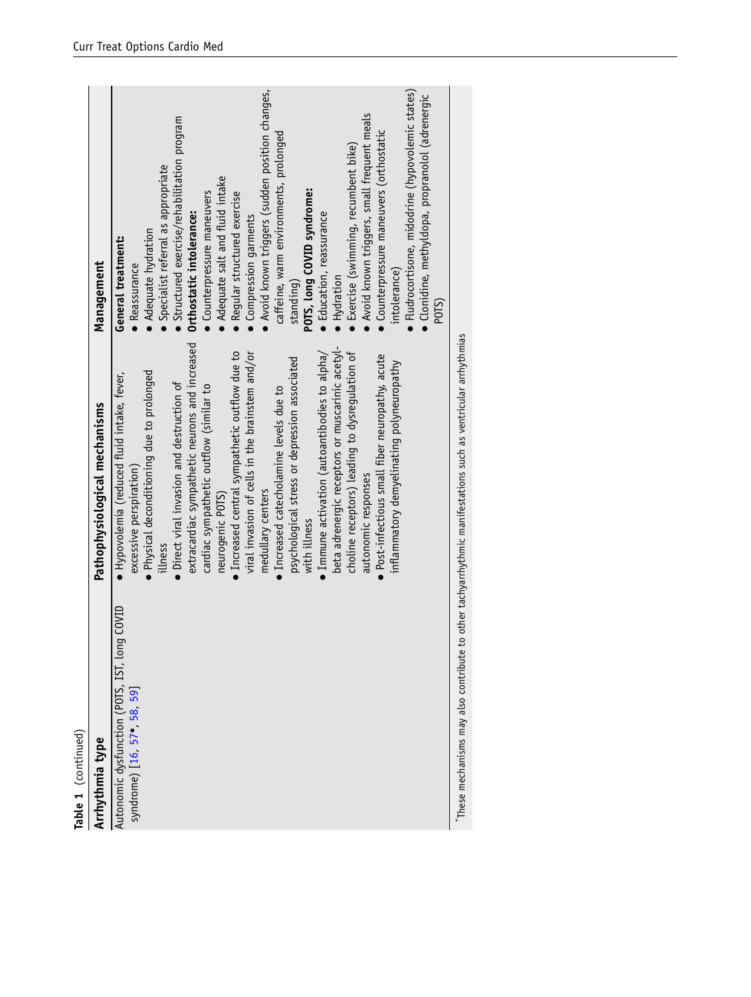|                     | Management<br>Pathophysiological mechanisms | Avoid known triggers (sudden position changes,<br>Fludrocortisone, midodrine (hypovolemic states)<br>Clonidine, methyldopa, propranolol (adrenergic<br>Avoid known triggers, small frequent meals<br>Structured exercise/rehabilitation program<br>Counterpressure maneuvers (orthostatic<br>caffeine, warm environments, prolonged<br>Exercise (swimming, recumbent bike)<br>Specialist referral as appropriate<br>Adequate salt and fluid intake<br>POTS, long COVID syndrome:<br>Counterpressure maneuvers<br>Regular structured exercise<br>Orthostatic intolerance:<br><b>Education, reassurance</b><br>Compression garments<br>Adequate hydration<br>General treatment:<br>Reassurance<br>intolerance)<br>Hydration<br>standing)<br>POTS)<br>extracardiac sympathetic neurons and increased<br>beta adrenergic receptors or muscarinic acetyl-<br>viral invasion of cells in the brainstem and/or<br>Immune activation (autoantibodies to alpha/<br>choline receptors) leading to dysregulation of<br>· Increased central sympathetic outflow due to<br>• Post-infectious small fiber neuropathy, acute<br>psychological stress or depression associated<br>inflammatory demyelinating polyneuropathy<br>Physical deconditioning due to prolonged<br>• Hypovolemia (reduced fluid intake, fever,<br>• Direct viral invasion and destruction of<br>cardiac sympathetic outflow (similar to<br>• Increased catecholamine levels due to<br>excessive perspiration)<br>autonomic responses<br>medullary centers<br>neurogenic POTS)<br>with illness<br>illness<br>Autonomic dysfunction (POTS, IST, long COVID |
|---------------------|---------------------------------------------|------------------------------------------------------------------------------------------------------------------------------------------------------------------------------------------------------------------------------------------------------------------------------------------------------------------------------------------------------------------------------------------------------------------------------------------------------------------------------------------------------------------------------------------------------------------------------------------------------------------------------------------------------------------------------------------------------------------------------------------------------------------------------------------------------------------------------------------------------------------------------------------------------------------------------------------------------------------------------------------------------------------------------------------------------------------------------------------------------------------------------------------------------------------------------------------------------------------------------------------------------------------------------------------------------------------------------------------------------------------------------------------------------------------------------------------------------------------------------------------------------------------------------------------------------------------------------------------------------------------|
| Table 1 (continued) | Arrhythmia type                             | syndrome) [16, 57 · 58, 59]                                                                                                                                                                                                                                                                                                                                                                                                                                                                                                                                                                                                                                                                                                                                                                                                                                                                                                                                                                                                                                                                                                                                                                                                                                                                                                                                                                                                                                                                                                                                                                                      |

\*These mechanisms may also contribute to other tachyarrhythmic manifestations such as ventricular arrhythmias \*These mechanisms may also contribute to other tachyarrhythmic manifestations such as ventricular arrhythmias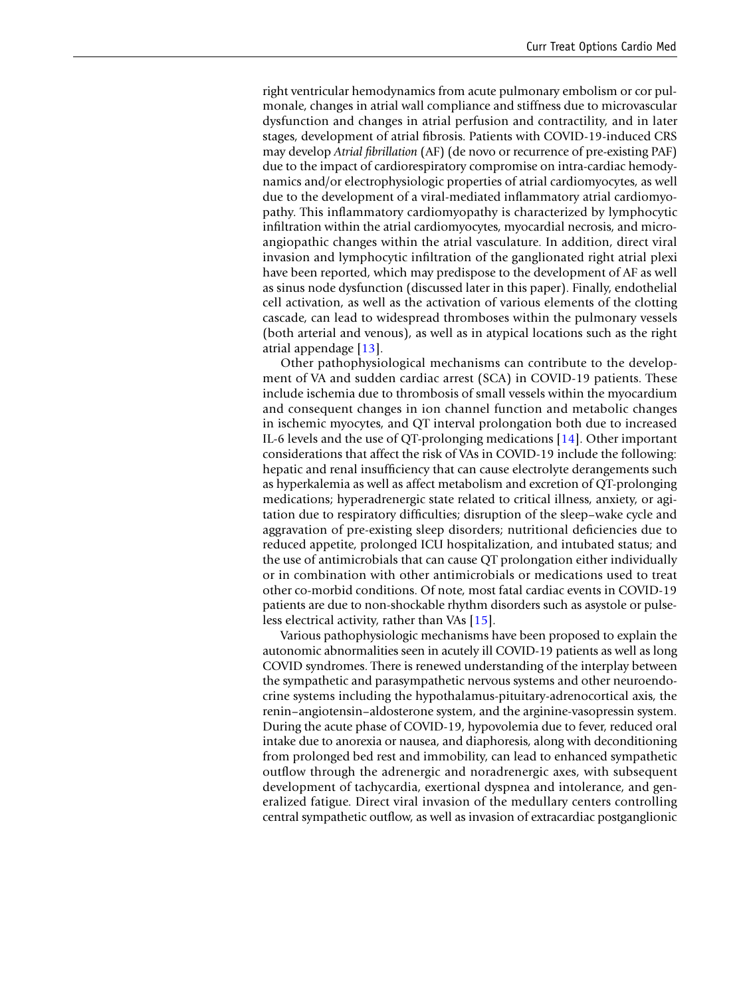right ventricular hemodynamics from acute pulmonary embolism or cor pulmonale, changes in atrial wall compliance and stiffness due to microvascular dysfunction and changes in atrial perfusion and contractility, and in later stages, development of atrial fbrosis. Patients with COVID-19-induced CRS may develop *Atrial fbrillation* (AF) (de novo or recurrence of pre-existing PAF) due to the impact of cardiorespiratory compromise on intra-cardiac hemodynamics and/or electrophysiologic properties of atrial cardiomyocytes, as well due to the development of a viral-mediated infammatory atrial cardiomyopathy. This infammatory cardiomyopathy is characterized by lymphocytic infltration within the atrial cardiomyocytes, myocardial necrosis, and microangiopathic changes within the atrial vasculature. In addition, direct viral invasion and lymphocytic infltration of the ganglionated right atrial plexi have been reported, which may predispose to the development of AF as well as sinus node dysfunction (discussed later in this paper). Finally, endothelial cell activation, as well as the activation of various elements of the clotting cascade, can lead to widespread thromboses within the pulmonary vessels (both arterial and venous), as well as in atypical locations such as the right atrial appendage [[13\]](#page-18-13).

Other pathophysiological mechanisms can contribute to the development of VA and sudden cardiac arrest (SCA) in COVID-19 patients. These include ischemia due to thrombosis of small vessels within the myocardium and consequent changes in ion channel function and metabolic changes in ischemic myocytes, and QT interval prolongation both due to increased IL-6 levels and the use of QT-prolonging medications [\[14](#page-18-14)]. Other important considerations that affect the risk of VAs in COVID-19 include the following: hepatic and renal insuffciency that can cause electrolyte derangements such as hyperkalemia as well as affect metabolism and excretion of QT-prolonging medications; hyperadrenergic state related to critical illness, anxiety, or agitation due to respiratory diffculties; disruption of the sleep–wake cycle and aggravation of pre-existing sleep disorders; nutritional defciencies due to reduced appetite, prolonged ICU hospitalization, and intubated status; and the use of antimicrobials that can cause QT prolongation either individually or in combination with other antimicrobials or medications used to treat other co-morbid conditions. Of note, most fatal cardiac events in COVID-19 patients are due to non-shockable rhythm disorders such as asystole or pulseless electrical activity, rather than VAs [[15](#page-18-15)].

Various pathophysiologic mechanisms have been proposed to explain the autonomic abnormalities seen in acutely ill COVID-19 patients as well as long COVID syndromes. There is renewed understanding of the interplay between the sympathetic and parasympathetic nervous systems and other neuroendocrine systems including the hypothalamus-pituitary-adrenocortical axis, the renin–angiotensin–aldosterone system, and the arginine-vasopressin system. During the acute phase of COVID-19, hypovolemia due to fever, reduced oral intake due to anorexia or nausea, and diaphoresis, along with deconditioning from prolonged bed rest and immobility, can lead to enhanced sympathetic outfow through the adrenergic and noradrenergic axes, with subsequent development of tachycardia, exertional dyspnea and intolerance, and generalized fatigue. Direct viral invasion of the medullary centers controlling central sympathetic outflow, as well as invasion of extracardiac postganglionic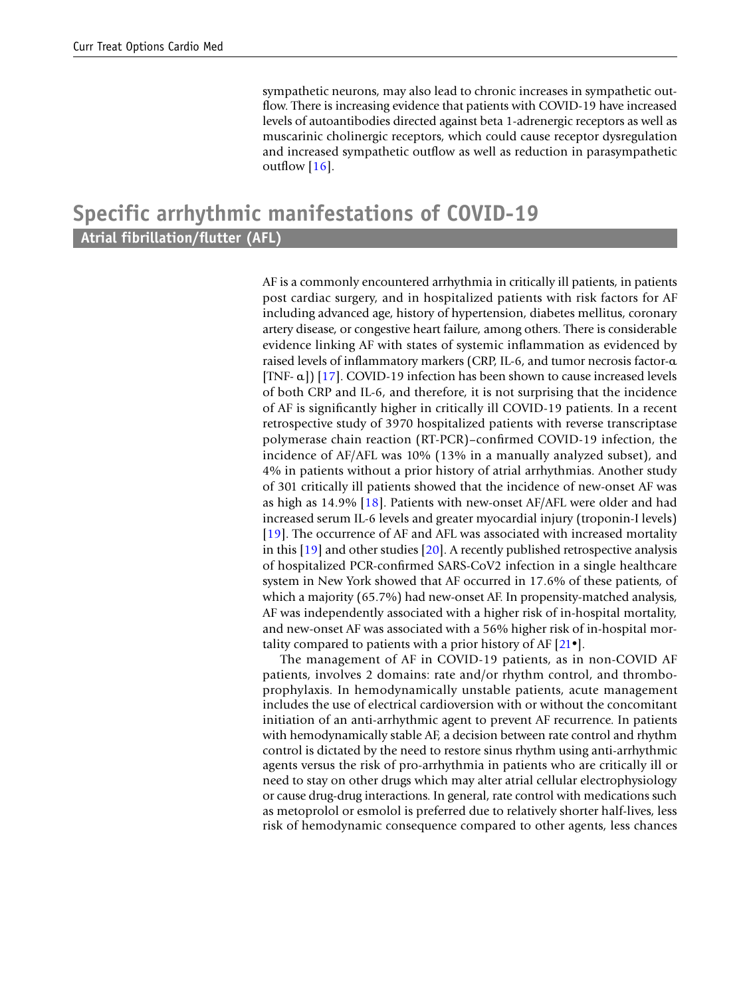sympathetic neurons, may also lead to chronic increases in sympathetic outflow. There is increasing evidence that patients with COVID-19 have increased levels of autoantibodies directed against beta 1-adrenergic receptors as well as muscarinic cholinergic receptors, which could cause receptor dysregulation and increased sympathetic outfow as well as reduction in parasympathetic outflow  $[16]$  $[16]$ .

### **Specific arrhythmic manifestations of COVID‑19 Atrial fibrillation/futter (AFL)**

AF is a commonly encountered arrhythmia in critically ill patients, in patients post cardiac surgery, and in hospitalized patients with risk factors for AF including advanced age, history of hypertension, diabetes mellitus, coronary artery disease, or congestive heart failure, among others. There is considerable evidence linking AF with states of systemic infammation as evidenced by raised levels of infammatory markers (CRP, IL-6, and tumor necrosis factor-α [TNF- α]) [\[17](#page-18-16)]. COVID-19 infection has been shown to cause increased levels of both CRP and IL-6, and therefore, it is not surprising that the incidence of AF is signifcantly higher in critically ill COVID-19 patients. In a recent retrospective study of 3970 hospitalized patients with reverse transcriptase polymerase chain reaction (RT-PCR)–confrmed COVID-19 infection, the incidence of AF/AFL was 10% (13% in a manually analyzed subset), and 4% in patients without a prior history of atrial arrhythmias. Another study of 301 critically ill patients showed that the incidence of new-onset AF was as high as 14.9% [\[18\]](#page-18-17). Patients with new-onset AF/AFL were older and had increased serum IL-6 levels and greater myocardial injury (troponin-I levels) [[19](#page-18-18)]. The occurrence of AF and AFL was associated with increased mortality in this [\[19](#page-18-18)] and other studies [[20\]](#page-18-19). A recently published retrospective analysis of hospitalized PCR-confrmed SARS-CoV2 infection in a single healthcare system in New York showed that AF occurred in 17.6% of these patients, of which a majority (65.7%) had new-onset AF. In propensity-matched analysis, AF was independently associated with a higher risk of in-hospital mortality, and new-onset AF was associated with a 56% higher risk of in-hospital mortality compared to patients with a prior history of AF  $[21 \bullet]$ .

The management of AF in COVID-19 patients, as in non-COVID AF patients, involves 2 domains: rate and/or rhythm control, and thromboprophylaxis. In hemodynamically unstable patients, acute management includes the use of electrical cardioversion with or without the concomitant initiation of an anti-arrhythmic agent to prevent AF recurrence. In patients with hemodynamically stable AF, a decision between rate control and rhythm control is dictated by the need to restore sinus rhythm using anti-arrhythmic agents versus the risk of pro-arrhythmia in patients who are critically ill or need to stay on other drugs which may alter atrial cellular electrophysiology or cause drug-drug interactions. In general, rate control with medications such as metoprolol or esmolol is preferred due to relatively shorter half-lives, less risk of hemodynamic consequence compared to other agents, less chances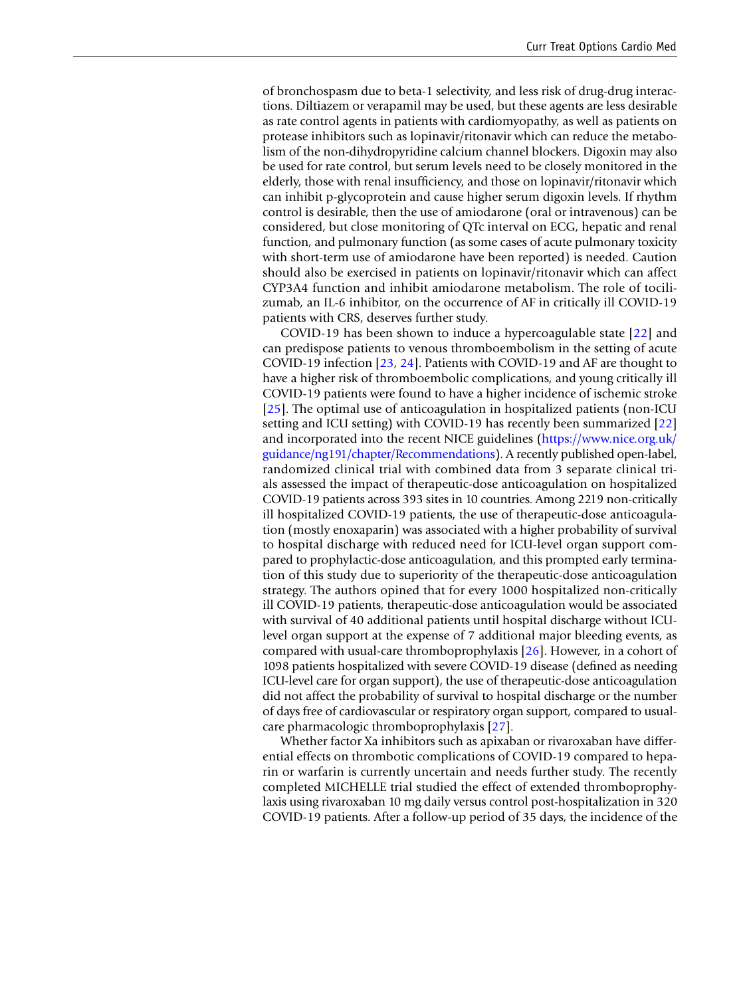of bronchospasm due to beta-1 selectivity, and less risk of drug-drug interactions. Diltiazem or verapamil may be used, but these agents are less desirable as rate control agents in patients with cardiomyopathy, as well as patients on protease inhibitors such as lopinavir/ritonavir which can reduce the metabolism of the non-dihydropyridine calcium channel blockers. Digoxin may also be used for rate control, but serum levels need to be closely monitored in the elderly, those with renal insuffciency, and those on lopinavir/ritonavir which can inhibit p-glycoprotein and cause higher serum digoxin levels. If rhythm control is desirable, then the use of amiodarone (oral or intravenous) can be considered, but close monitoring of QTc interval on ECG, hepatic and renal function, and pulmonary function (as some cases of acute pulmonary toxicity with short-term use of amiodarone have been reported) is needed. Caution should also be exercised in patients on lopinavir/ritonavir which can affect CYP3A4 function and inhibit amiodarone metabolism. The role of tocilizumab, an IL-6 inhibitor, on the occurrence of AF in critically ill COVID-19 patients with CRS, deserves further study.

COVID-19 has been shown to induce a hypercoagulable state [\[22\]](#page-18-21) and can predispose patients to venous thromboembolism in the setting of acute COVID-19 infection [\[23,](#page-19-3) [24\]](#page-19-4). Patients with COVID-19 and AF are thought to have a higher risk of thromboembolic complications, and young critically ill COVID-19 patients were found to have a higher incidence of ischemic stroke [[25](#page-19-5)]. The optimal use of anticoagulation in hospitalized patients (non-ICU setting and ICU setting) with COVID-19 has recently been summarized [[22\]](#page-18-21) and incorporated into the recent NICE guidelines ([https://www.nice.org.uk/](https://www.nice.org.uk/guidance/ng191/chapter/Recommendations) [guidance/ng191/chapter/Recommendations\)](https://www.nice.org.uk/guidance/ng191/chapter/Recommendations). A recently published open-label, randomized clinical trial with combined data from 3 separate clinical trials assessed the impact of therapeutic-dose anticoagulation on hospitalized COVID-19 patients across 393 sites in 10 countries. Among 2219 non-critically ill hospitalized COVID-19 patients, the use of therapeutic-dose anticoagulation (mostly enoxaparin) was associated with a higher probability of survival to hospital discharge with reduced need for ICU-level organ support compared to prophylactic-dose anticoagulation, and this prompted early termination of this study due to superiority of the therapeutic-dose anticoagulation strategy. The authors opined that for every 1000 hospitalized non-critically ill COVID-19 patients, therapeutic-dose anticoagulation would be associated with survival of 40 additional patients until hospital discharge without ICUlevel organ support at the expense of 7 additional major bleeding events, as compared with usual-care thromboprophylaxis [[26\]](#page-19-6). However, in a cohort of 1098 patients hospitalized with severe COVID-19 disease (defned as needing ICU-level care for organ support), the use of therapeutic-dose anticoagulation did not affect the probability of survival to hospital discharge or the number of days free of cardiovascular or respiratory organ support, compared to usualcare pharmacologic thromboprophylaxis [\[27](#page-19-7)].

Whether factor Xa inhibitors such as apixaban or rivaroxaban have differential effects on thrombotic complications of COVID-19 compared to heparin or warfarin is currently uncertain and needs further study. The recently completed MICHELLE trial studied the effect of extended thromboprophylaxis using rivaroxaban 10 mg daily versus control post-hospitalization in 320 COVID-19 patients. After a follow-up period of 35 days, the incidence of the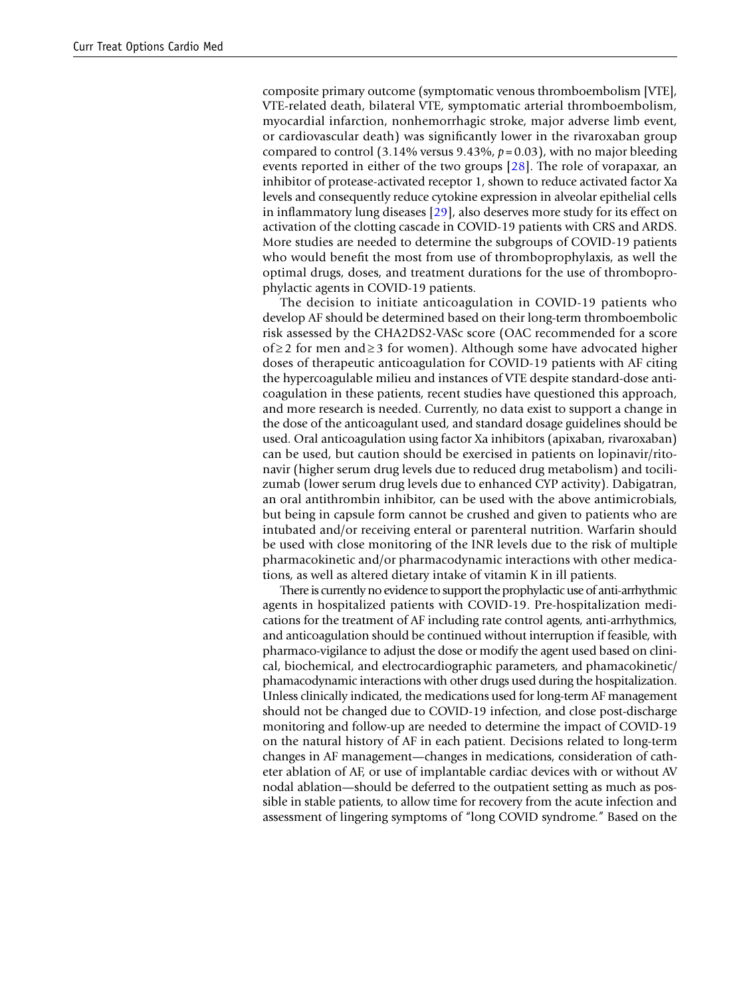composite primary outcome (symptomatic venous thromboembolism [VTE], VTE-related death, bilateral VTE, symptomatic arterial thromboembolism, myocardial infarction, nonhemorrhagic stroke, major adverse limb event, or cardiovascular death) was signifcantly lower in the rivaroxaban group compared to control (3.14% versus 9.43%, *p*=0.03), with no major bleeding events reported in either of the two groups [[28\]](#page-19-8). The role of vorapaxar, an inhibitor of protease-activated receptor 1, shown to reduce activated factor Xa levels and consequently reduce cytokine expression in alveolar epithelial cells in infammatory lung diseases [\[29](#page-19-9)], also deserves more study for its effect on activation of the clotting cascade in COVID-19 patients with CRS and ARDS. More studies are needed to determine the subgroups of COVID-19 patients who would beneft the most from use of thromboprophylaxis, as well the optimal drugs, doses, and treatment durations for the use of thromboprophylactic agents in COVID-19 patients.

The decision to initiate anticoagulation in COVID-19 patients who develop AF should be determined based on their long-term thromboembolic risk assessed by the CHA2DS2-VASc score (OAC recommended for a score of ≥ 2 for men and ≥ 3 for women). Although some have advocated higher doses of therapeutic anticoagulation for COVID-19 patients with AF citing the hypercoagulable milieu and instances of VTE despite standard-dose anticoagulation in these patients, recent studies have questioned this approach, and more research is needed. Currently, no data exist to support a change in the dose of the anticoagulant used, and standard dosage guidelines should be used. Oral anticoagulation using factor Xa inhibitors (apixaban, rivaroxaban) can be used, but caution should be exercised in patients on lopinavir/ritonavir (higher serum drug levels due to reduced drug metabolism) and tocilizumab (lower serum drug levels due to enhanced CYP activity). Dabigatran, an oral antithrombin inhibitor, can be used with the above antimicrobials, but being in capsule form cannot be crushed and given to patients who are intubated and/or receiving enteral or parenteral nutrition. Warfarin should be used with close monitoring of the INR levels due to the risk of multiple pharmacokinetic and/or pharmacodynamic interactions with other medications, as well as altered dietary intake of vitamin K in ill patients.

There is currently no evidence to support the prophylactic use of anti-arrhythmic agents in hospitalized patients with COVID-19. Pre-hospitalization medications for the treatment of AF including rate control agents, anti-arrhythmics, and anticoagulation should be continued without interruption if feasible, with pharmaco-vigilance to adjust the dose or modify the agent used based on clinical, biochemical, and electrocardiographic parameters, and phamacokinetic/ phamacodynamic interactions with other drugs used during the hospitalization. Unless clinically indicated, the medications used for long-term AF management should not be changed due to COVID-19 infection, and close post-discharge monitoring and follow-up are needed to determine the impact of COVID-19 on the natural history of AF in each patient. Decisions related to long-term changes in AF management—changes in medications, consideration of catheter ablation of AF, or use of implantable cardiac devices with or without AV nodal ablation—should be deferred to the outpatient setting as much as possible in stable patients, to allow time for recovery from the acute infection and assessment of lingering symptoms of "long COVID syndrome." Based on the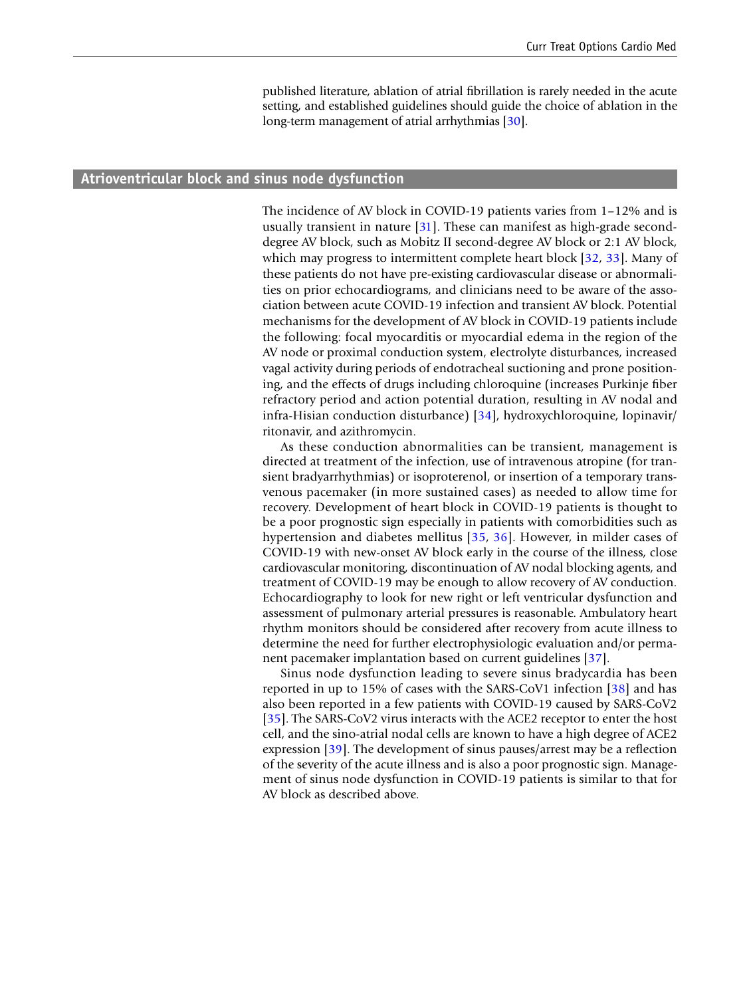published literature, ablation of atrial fbrillation is rarely needed in the acute setting, and established guidelines should guide the choice of ablation in the long-term management of atrial arrhythmias [\[30\]](#page-19-10).

#### **Atrioventricular block and sinus node dysfunction**

The incidence of AV block in COVID-19 patients varies from 1–12% and is usually transient in nature  $[31]$  $[31]$  $[31]$ . These can manifest as high-grade seconddegree AV block, such as Mobitz II second-degree AV block or 2:1 AV block, which may progress to intermittent complete heart block [[32](#page-19-0), [33\]](#page-19-1). Many of these patients do not have pre-existing cardiovascular disease or abnormalities on prior echocardiograms, and clinicians need to be aware of the association between acute COVID-19 infection and transient AV block. Potential mechanisms for the development of AV block in COVID-19 patients include the following: focal myocarditis or myocardial edema in the region of the AV node or proximal conduction system, electrolyte disturbances, increased vagal activity during periods of endotracheal suctioning and prone positioning, and the effects of drugs including chloroquine (increases Purkinje fber refractory period and action potential duration, resulting in AV nodal and infra-Hisian conduction disturbance) [[34](#page-19-12)], hydroxychloroquine, lopinavir/ ritonavir, and azithromycin.

As these conduction abnormalities can be transient, management is directed at treatment of the infection, use of intravenous atropine (for transient bradyarrhythmias) or isoproterenol, or insertion of a temporary transvenous pacemaker (in more sustained cases) as needed to allow time for recovery. Development of heart block in COVID-19 patients is thought to be a poor prognostic sign especially in patients with comorbidities such as hypertension and diabetes mellitus [[35](#page-19-2), [36\]](#page-19-13). However, in milder cases of COVID-19 with new-onset AV block early in the course of the illness, close cardiovascular monitoring, discontinuation of AV nodal blocking agents, and treatment of COVID-19 may be enough to allow recovery of AV conduction. Echocardiography to look for new right or left ventricular dysfunction and assessment of pulmonary arterial pressures is reasonable. Ambulatory heart rhythm monitors should be considered after recovery from acute illness to determine the need for further electrophysiologic evaluation and/or permanent pacemaker implantation based on current guidelines [[37\]](#page-19-14).

Sinus node dysfunction leading to severe sinus bradycardia has been reported in up to 15% of cases with the SARS-CoV1 infection  $\left[38\right]$  $\left[38\right]$  $\left[38\right]$  and has also been reported in a few patients with COVID-19 caused by SARS-CoV2 [[35](#page-19-2)]. The SARS-CoV2 virus interacts with the ACE2 receptor to enter the host cell, and the sino-atrial nodal cells are known to have a high degree of ACE2 expression [[39\]](#page-19-16). The development of sinus pauses/arrest may be a reflection of the severity of the acute illness and is also a poor prognostic sign. Management of sinus node dysfunction in COVID-19 patients is similar to that for AV block as described above.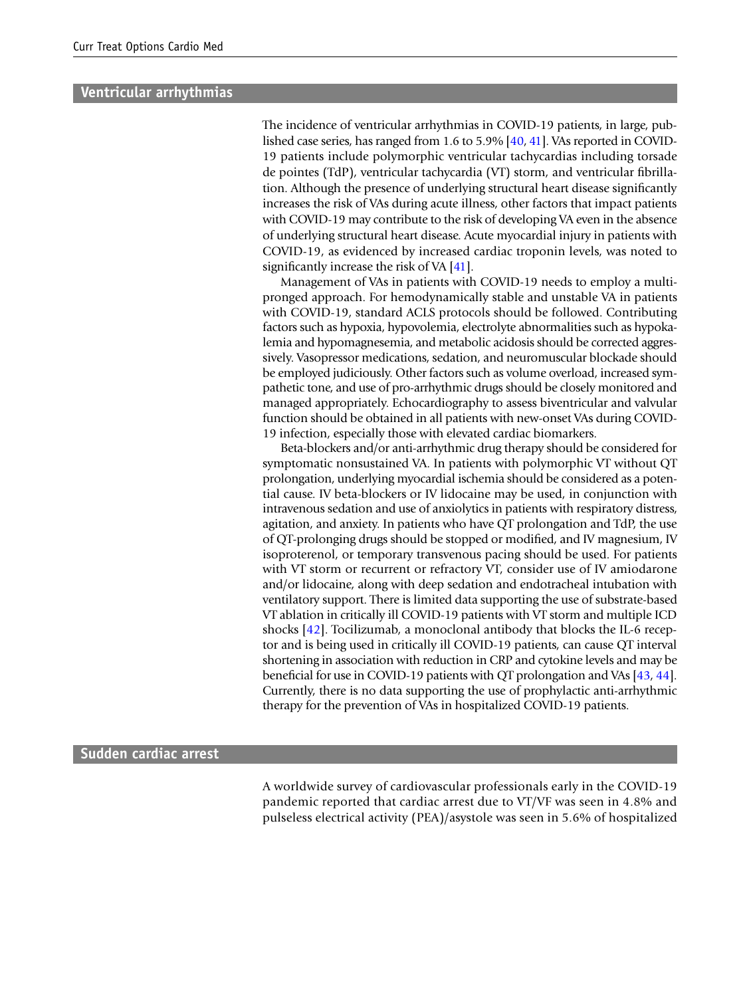#### **Ventricular arrhythmias**

The incidence of ventricular arrhythmias in COVID-19 patients, in large, published case series, has ranged from 1.6 to 5.9% [[40](#page-19-17), [41\]](#page-19-18). VAs reported in COVID-19 patients include polymorphic ventricular tachycardias including torsade de pointes (TdP), ventricular tachycardia (VT) storm, and ventricular fbrillation. Although the presence of underlying structural heart disease signifcantly increases the risk of VAs during acute illness, other factors that impact patients with COVID-19 may contribute to the risk of developing VA even in the absence of underlying structural heart disease. Acute myocardial injury in patients with COVID-19, as evidenced by increased cardiac troponin levels, was noted to significantly increase the risk of VA [[41\]](#page-19-18).

Management of VAs in patients with COVID-19 needs to employ a multipronged approach. For hemodynamically stable and unstable VA in patients with COVID-19, standard ACLS protocols should be followed. Contributing factors such as hypoxia, hypovolemia, electrolyte abnormalities such as hypokalemia and hypomagnesemia, and metabolic acidosis should be corrected aggressively. Vasopressor medications, sedation, and neuromuscular blockade should be employed judiciously. Other factors such as volume overload, increased sympathetic tone, and use of pro-arrhythmic drugs should be closely monitored and managed appropriately. Echocardiography to assess biventricular and valvular function should be obtained in all patients with new-onset VAs during COVID-19 infection, especially those with elevated cardiac biomarkers.

Beta-blockers and/or anti-arrhythmic drug therapy should be considered for symptomatic nonsustained VA. In patients with polymorphic VT without QT prolongation, underlying myocardial ischemia should be considered as a potential cause. IV beta-blockers or IV lidocaine may be used, in conjunction with intravenous sedation and use of anxiolytics in patients with respiratory distress, agitation, and anxiety. In patients who have QT prolongation and TdP, the use of QT-prolonging drugs should be stopped or modifed, and IV magnesium, IV isoproterenol, or temporary transvenous pacing should be used. For patients with VT storm or recurrent or refractory VT, consider use of IV amiodarone and/or lidocaine, along with deep sedation and endotracheal intubation with ventilatory support. There is limited data supporting the use of substrate-based VT ablation in critically ill COVID-19 patients with VT storm and multiple ICD shocks [\[42](#page-19-19)]. Tocilizumab, a monoclonal antibody that blocks the IL-6 receptor and is being used in critically ill COVID-19 patients, can cause QT interval shortening in association with reduction in CRP and cytokine levels and may be beneficial for use in COVID-19 patients with QT prolongation and VAs [\[43,](#page-19-20) [44](#page-19-21)]. Currently, there is no data supporting the use of prophylactic anti-arrhythmic therapy for the prevention of VAs in hospitalized COVID-19 patients.

#### **Sudden cardiac arrest**

A worldwide survey of cardiovascular professionals early in the COVID-19 pandemic reported that cardiac arrest due to VT/VF was seen in 4.8% and pulseless electrical activity (PEA)/asystole was seen in 5.6% of hospitalized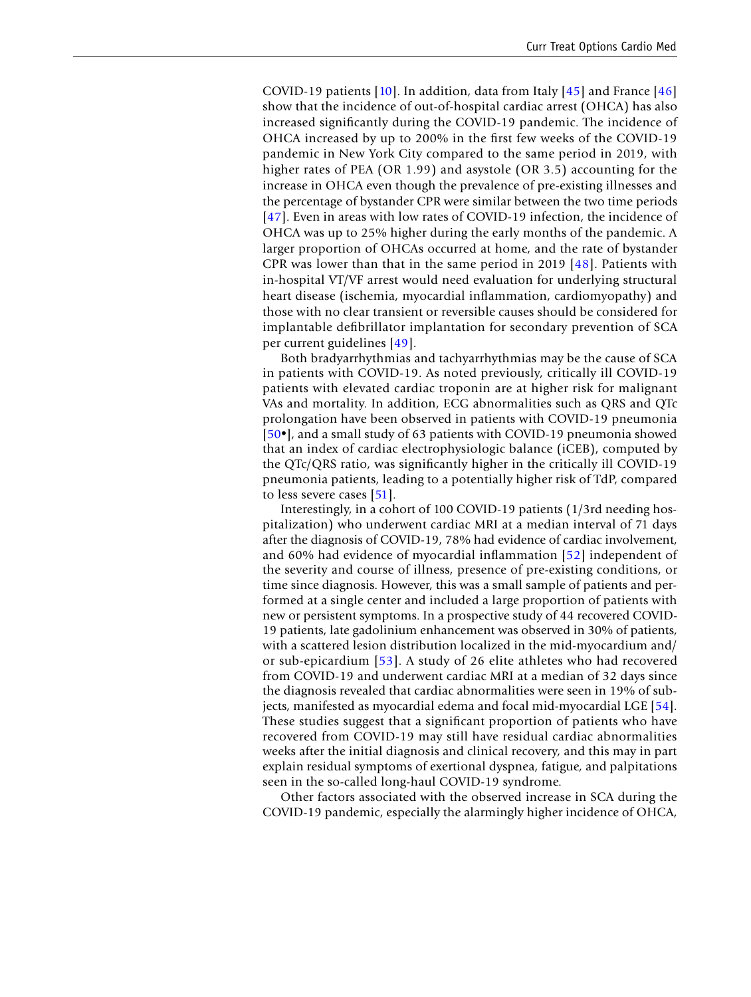COVID-19 patients  $[10]$  $[10]$  $[10]$ . In addition, data from Italy  $[45]$  $[45]$  and France  $[46]$  $[46]$ show that the incidence of out-of-hospital cardiac arrest (OHCA) has also increased signifcantly during the COVID-19 pandemic. The incidence of OHCA increased by up to 200% in the frst few weeks of the COVID-19 pandemic in New York City compared to the same period in 2019, with higher rates of PEA (OR 1.99) and asystole (OR 3.5) accounting for the increase in OHCA even though the prevalence of pre-existing illnesses and the percentage of bystander CPR were similar between the two time periods [[47\]](#page-19-24). Even in areas with low rates of COVID-19 infection, the incidence of OHCA was up to 25% higher during the early months of the pandemic. A larger proportion of OHCAs occurred at home, and the rate of bystander CPR was lower than that in the same period in 2019 [[48\]](#page-19-25). Patients with in-hospital VT/VF arrest would need evaluation for underlying structural heart disease (ischemia, myocardial infammation, cardiomyopathy) and those with no clear transient or reversible causes should be considered for implantable defbrillator implantation for secondary prevention of SCA per current guidelines [[49](#page-19-26)].

Both bradyarrhythmias and tachyarrhythmias may be the cause of SCA in patients with COVID-19. As noted previously, critically ill COVID-19 patients with elevated cardiac troponin are at higher risk for malignant VAs and mortality. In addition, ECG abnormalities such as QRS and QTc prolongation have been observed in patients with COVID-19 pneumonia [[50](#page-19-27)•], and a small study of 63 patients with COVID-19 pneumonia showed that an index of cardiac electrophysiologic balance (iCEB), computed by the QTc/QRS ratio, was signifcantly higher in the critically ill COVID-19 pneumonia patients, leading to a potentially higher risk of TdP, compared to less severe cases [[51\]](#page-19-28).

Interestingly, in a cohort of 100 COVID-19 patients (1/3rd needing hospitalization) who underwent cardiac MRI at a median interval of 71 days after the diagnosis of COVID-19, 78% had evidence of cardiac involvement, and 60% had evidence of myocardial infammation [\[52\]](#page-19-29) independent of the severity and course of illness, presence of pre-existing conditions, or time since diagnosis. However, this was a small sample of patients and performed at a single center and included a large proportion of patients with new or persistent symptoms. In a prospective study of 44 recovered COVID-19 patients, late gadolinium enhancement was observed in 30% of patients, with a scattered lesion distribution localized in the mid-myocardium and/ or sub-epicardium [\[53](#page-19-30)]. A study of 26 elite athletes who had recovered from COVID-19 and underwent cardiac MRI at a median of 32 days since the diagnosis revealed that cardiac abnormalities were seen in 19% of subjects, manifested as myocardial edema and focal mid-myocardial LGE [[54\]](#page-19-31). These studies suggest that a signifcant proportion of patients who have recovered from COVID-19 may still have residual cardiac abnormalities weeks after the initial diagnosis and clinical recovery, and this may in part explain residual symptoms of exertional dyspnea, fatigue, and palpitations seen in the so-called long-haul COVID-19 syndrome.

Other factors associated with the observed increase in SCA during the COVID-19 pandemic, especially the alarmingly higher incidence of OHCA,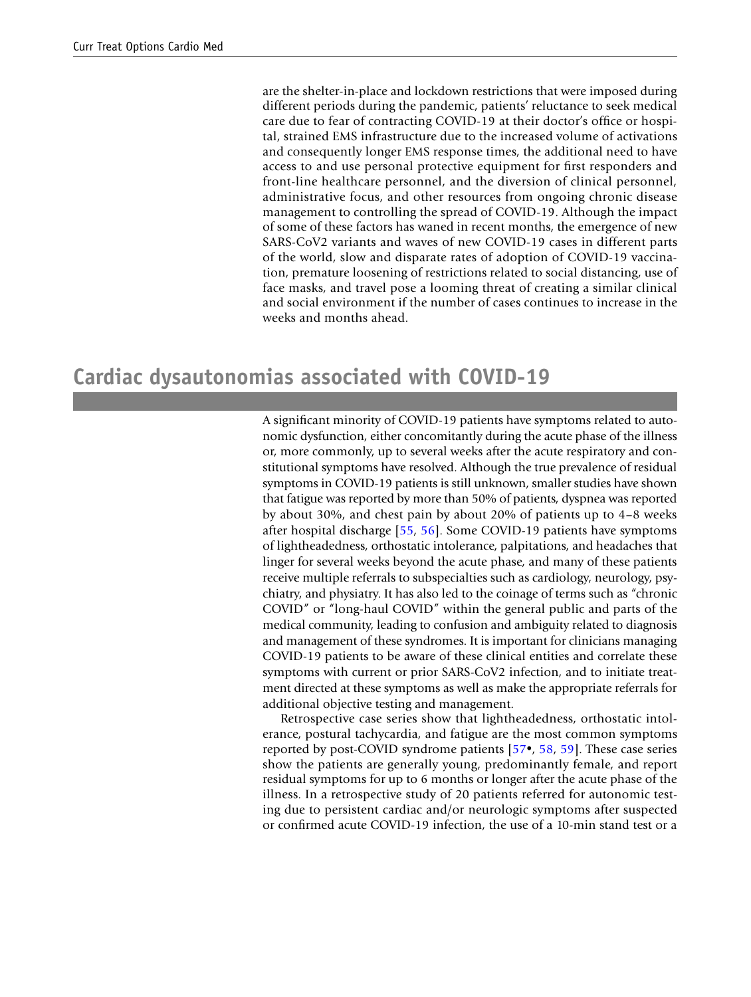are the shelter-in-place and lockdown restrictions that were imposed during different periods during the pandemic, patients' reluctance to seek medical care due to fear of contracting COVID-19 at their doctor's office or hospital, strained EMS infrastructure due to the increased volume of activations and consequently longer EMS response times, the additional need to have access to and use personal protective equipment for frst responders and front-line healthcare personnel, and the diversion of clinical personnel, administrative focus, and other resources from ongoing chronic disease management to controlling the spread of COVID-19. Although the impact of some of these factors has waned in recent months, the emergence of new SARS-CoV2 variants and waves of new COVID-19 cases in different parts of the world, slow and disparate rates of adoption of COVID-19 vaccination, premature loosening of restrictions related to social distancing, use of face masks, and travel pose a looming threat of creating a similar clinical and social environment if the number of cases continues to increase in the weeks and months ahead.

### **Cardiac dysautonomias associated with COVID‑19**

A signifcant minority of COVID-19 patients have symptoms related to autonomic dysfunction, either concomitantly during the acute phase of the illness or, more commonly, up to several weeks after the acute respiratory and constitutional symptoms have resolved. Although the true prevalence of residual symptoms in COVID-19 patients is still unknown, smaller studies have shown that fatigue was reported by more than 50% of patients, dyspnea was reported by about 30%, and chest pain by about 20% of patients up to 4–8 weeks after hospital discharge [[55](#page-20-7), [56](#page-20-8)]. Some COVID-19 patients have symptoms of lightheadedness, orthostatic intolerance, palpitations, and headaches that linger for several weeks beyond the acute phase, and many of these patients receive multiple referrals to subspecialties such as cardiology, neurology, psychiatry, and physiatry. It has also led to the coinage of terms such as "chronic COVID" or "long-haul COVID" within the general public and parts of the medical community, leading to confusion and ambiguity related to diagnosis and management of these syndromes. It is important for clinicians managing COVID-19 patients to be aware of these clinical entities and correlate these symptoms with current or prior SARS-CoV2 infection, and to initiate treatment directed at these symptoms as well as make the appropriate referrals for additional objective testing and management.

Retrospective case series show that lightheadedness, orthostatic intolerance, postural tachycardia, and fatigue are the most common symptoms reported by post-COVID syndrome patients [[57•](#page-20-4), [58,](#page-20-5) [59\]](#page-20-6). These case series show the patients are generally young, predominantly female, and report residual symptoms for up to 6 months or longer after the acute phase of the illness. In a retrospective study of 20 patients referred for autonomic testing due to persistent cardiac and/or neurologic symptoms after suspected or confrmed acute COVID-19 infection, the use of a 10-min stand test or a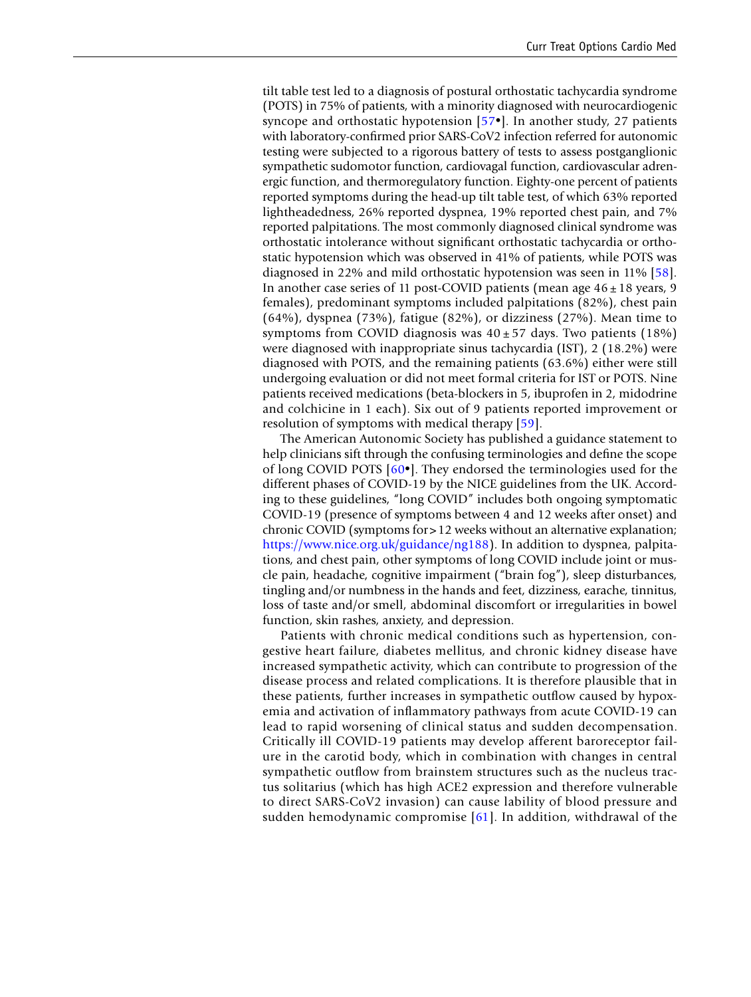tilt table test led to a diagnosis of postural orthostatic tachycardia syndrome (POTS) in 75% of patients, with a minority diagnosed with neurocardiogenic syncope and orthostatic hypotension [[57](#page-20-4)•]. In another study, 27 patients with laboratory-confrmed prior SARS-CoV2 infection referred for autonomic testing were subjected to a rigorous battery of tests to assess postganglionic sympathetic sudomotor function, cardiovagal function, cardiovascular adrenergic function, and thermoregulatory function. Eighty-one percent of patients reported symptoms during the head-up tilt table test, of which 63% reported lightheadedness, 26% reported dyspnea, 19% reported chest pain, and 7% reported palpitations. The most commonly diagnosed clinical syndrome was orthostatic intolerance without signifcant orthostatic tachycardia or orthostatic hypotension which was observed in 41% of patients, while POTS was diagnosed in 22% and mild orthostatic hypotension was seen in 11% [[58\]](#page-20-5). In another case series of 11 post-COVID patients (mean age  $46 \pm 18$  years, 9 females), predominant symptoms included palpitations (82%), chest pain (64%), dyspnea (73%), fatigue (82%), or dizziness (27%). Mean time to symptoms from COVID diagnosis was  $40 \pm 57$  days. Two patients (18%) were diagnosed with inappropriate sinus tachycardia (IST), 2 (18.2%) were diagnosed with POTS, and the remaining patients (63.6%) either were still undergoing evaluation or did not meet formal criteria for IST or POTS. Nine patients received medications (beta-blockers in 5, ibuprofen in 2, midodrine and colchicine in 1 each). Six out of 9 patients reported improvement or resolution of symptoms with medical therapy [[59](#page-20-6)].

The American Autonomic Society has published a guidance statement to help clinicians sift through the confusing terminologies and defne the scope of long COVID POTS [[60](#page-20-9)•]. They endorsed the terminologies used for the different phases of COVID-19 by the NICE guidelines from the UK. According to these guidelines, "long COVID" includes both ongoing symptomatic COVID-19 (presence of symptoms between 4 and 12 weeks after onset) and chronic COVID (symptoms for>12 weeks without an alternative explanation; [https://www.nice.org.uk/guidance/ng188\)](https://www.nice.org.uk/guidance/ng188). In addition to dyspnea, palpitations, and chest pain, other symptoms of long COVID include joint or muscle pain, headache, cognitive impairment ("brain fog"), sleep disturbances, tingling and/or numbness in the hands and feet, dizziness, earache, tinnitus, loss of taste and/or smell, abdominal discomfort or irregularities in bowel function, skin rashes, anxiety, and depression.

Patients with chronic medical conditions such as hypertension, congestive heart failure, diabetes mellitus, and chronic kidney disease have increased sympathetic activity, which can contribute to progression of the disease process and related complications. It is therefore plausible that in these patients, further increases in sympathetic outfow caused by hypoxemia and activation of infammatory pathways from acute COVID-19 can lead to rapid worsening of clinical status and sudden decompensation. Critically ill COVID-19 patients may develop afferent baroreceptor failure in the carotid body, which in combination with changes in central sympathetic outflow from brainstem structures such as the nucleus tractus solitarius (which has high ACE2 expression and therefore vulnerable to direct SARS-CoV2 invasion) can cause lability of blood pressure and sudden hemodynamic compromise  $[61]$  $[61]$ . In addition, withdrawal of the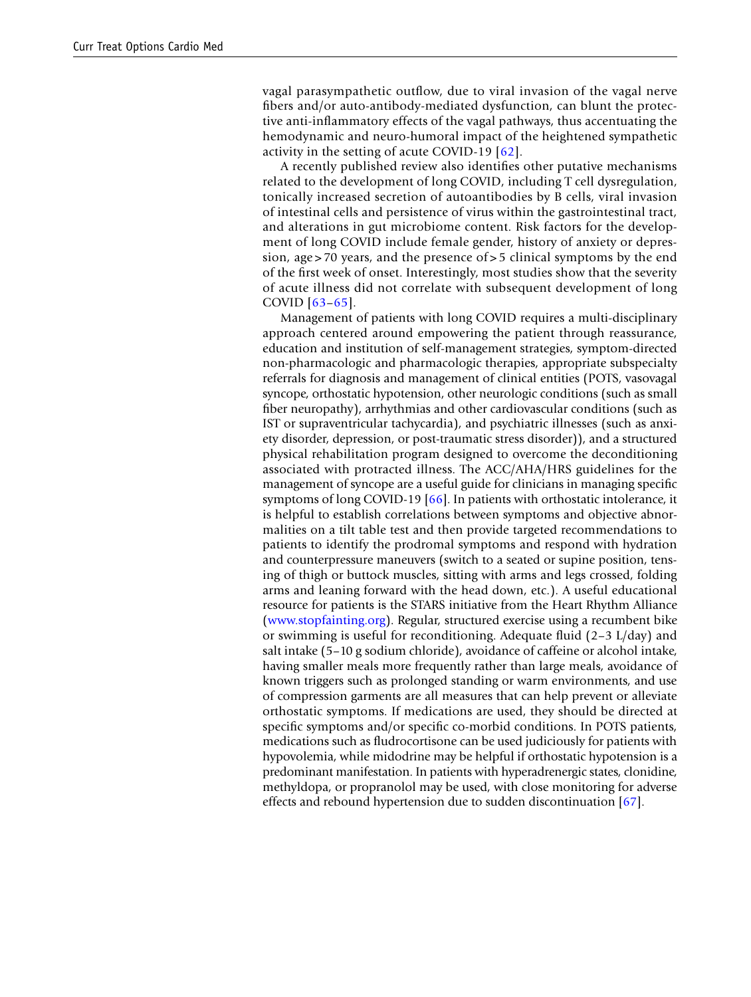vagal parasympathetic outfow, due to viral invasion of the vagal nerve fbers and/or auto-antibody-mediated dysfunction, can blunt the protective anti-infammatory effects of the vagal pathways, thus accentuating the hemodynamic and neuro-humoral impact of the heightened sympathetic activity in the setting of acute COVID-19 [[62](#page-20-11)].

A recently published review also identifes other putative mechanisms related to the development of long COVID, including T cell dysregulation, tonically increased secretion of autoantibodies by B cells, viral invasion of intestinal cells and persistence of virus within the gastrointestinal tract, and alterations in gut microbiome content. Risk factors for the development of long COVID include female gender, history of anxiety or depression, age > 70 years, and the presence of > 5 clinical symptoms by the end of the frst week of onset. Interestingly, most studies show that the severity of acute illness did not correlate with subsequent development of long COVID [[63](#page-20-12)–[65](#page-20-13)].

Management of patients with long COVID requires a multi-disciplinary approach centered around empowering the patient through reassurance, education and institution of self-management strategies, symptom-directed non-pharmacologic and pharmacologic therapies, appropriate subspecialty referrals for diagnosis and management of clinical entities (POTS, vasovagal syncope, orthostatic hypotension, other neurologic conditions (such as small fber neuropathy), arrhythmias and other cardiovascular conditions (such as IST or supraventricular tachycardia), and psychiatric illnesses (such as anxiety disorder, depression, or post-traumatic stress disorder)), and a structured physical rehabilitation program designed to overcome the deconditioning associated with protracted illness. The ACC/AHA/HRS guidelines for the management of syncope are a useful guide for clinicians in managing specifc symptoms of long COVID-19 [\[66](#page-20-14)]. In patients with orthostatic intolerance, it is helpful to establish correlations between symptoms and objective abnormalities on a tilt table test and then provide targeted recommendations to patients to identify the prodromal symptoms and respond with hydration and counterpressure maneuvers (switch to a seated or supine position, tensing of thigh or buttock muscles, sitting with arms and legs crossed, folding arms and leaning forward with the head down, etc.). A useful educational resource for patients is the STARS initiative from the Heart Rhythm Alliance [\(www.stopfainting.org\)](http://www.stopfainting.org). Regular, structured exercise using a recumbent bike or swimming is useful for reconditioning. Adequate fuid (2–3 L/day) and salt intake (5–10 g sodium chloride), avoidance of caffeine or alcohol intake, having smaller meals more frequently rather than large meals, avoidance of known triggers such as prolonged standing or warm environments, and use of compression garments are all measures that can help prevent or alleviate orthostatic symptoms. If medications are used, they should be directed at specifc symptoms and/or specifc co-morbid conditions. In POTS patients, medications such as fudrocortisone can be used judiciously for patients with hypovolemia, while midodrine may be helpful if orthostatic hypotension is a predominant manifestation. In patients with hyperadrenergic states, clonidine, methyldopa, or propranolol may be used, with close monitoring for adverse effects and rebound hypertension due to sudden discontinuation [\[67](#page-20-15)].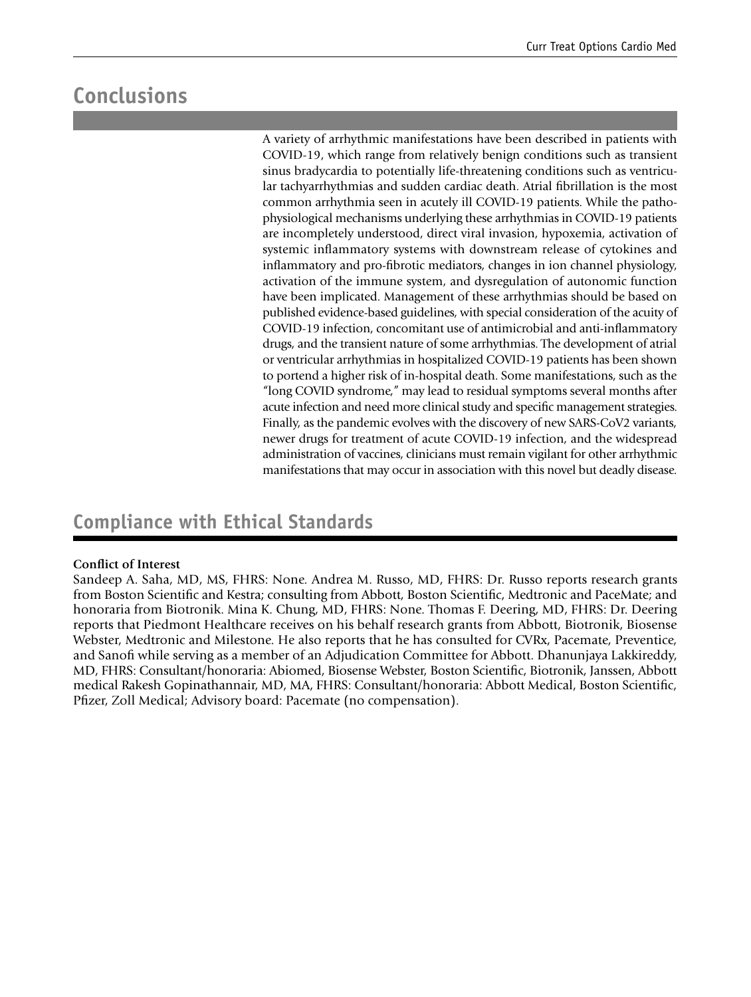## **Conclusions**

A variety of arrhythmic manifestations have been described in patients with COVID-19, which range from relatively benign conditions such as transient sinus bradycardia to potentially life-threatening conditions such as ventricular tachyarrhythmias and sudden cardiac death. Atrial fbrillation is the most common arrhythmia seen in acutely ill COVID-19 patients. While the pathophysiological mechanisms underlying these arrhythmias in COVID-19 patients are incompletely understood, direct viral invasion, hypoxemia, activation of systemic infammatory systems with downstream release of cytokines and infammatory and pro-fbrotic mediators, changes in ion channel physiology, activation of the immune system, and dysregulation of autonomic function have been implicated. Management of these arrhythmias should be based on published evidence-based guidelines, with special consideration of the acuity of COVID-19 infection, concomitant use of antimicrobial and anti-infammatory drugs, and the transient nature of some arrhythmias. The development of atrial or ventricular arrhythmias in hospitalized COVID-19 patients has been shown to portend a higher risk of in-hospital death. Some manifestations, such as the "long COVID syndrome," may lead to residual symptoms several months after acute infection and need more clinical study and specifc management strategies. Finally, as the pandemic evolves with the discovery of new SARS-CoV2 variants, newer drugs for treatment of acute COVID-19 infection, and the widespread administration of vaccines, clinicians must remain vigilant for other arrhythmic manifestations that may occur in association with this novel but deadly disease.

### **Compliance with Ethical Standards**

### **Confict of Interest**

Sandeep A. Saha, MD, MS, FHRS: None. Andrea M. Russo, MD, FHRS: Dr. Russo reports research grants from Boston Scientifc and Kestra; consulting from Abbott, Boston Scientifc, Medtronic and PaceMate; and honoraria from Biotronik. Mina K. Chung, MD, FHRS: None. Thomas F. Deering, MD, FHRS: Dr. Deering reports that Piedmont Healthcare receives on his behalf research grants from Abbott, Biotronik, Biosense Webster, Medtronic and Milestone. He also reports that he has consulted for CVRx, Pacemate, Preventice, and Sanof while serving as a member of an Adjudication Committee for Abbott. Dhanunjaya Lakkireddy, MD, FHRS: Consultant/honoraria: Abiomed, Biosense Webster, Boston Scientifc, Biotronik, Janssen, Abbott medical Rakesh Gopinathannair, MD, MA, FHRS: Consultant/honoraria: Abbott Medical, Boston Scientifc, Pfzer, Zoll Medical; Advisory board: Pacemate (no compensation).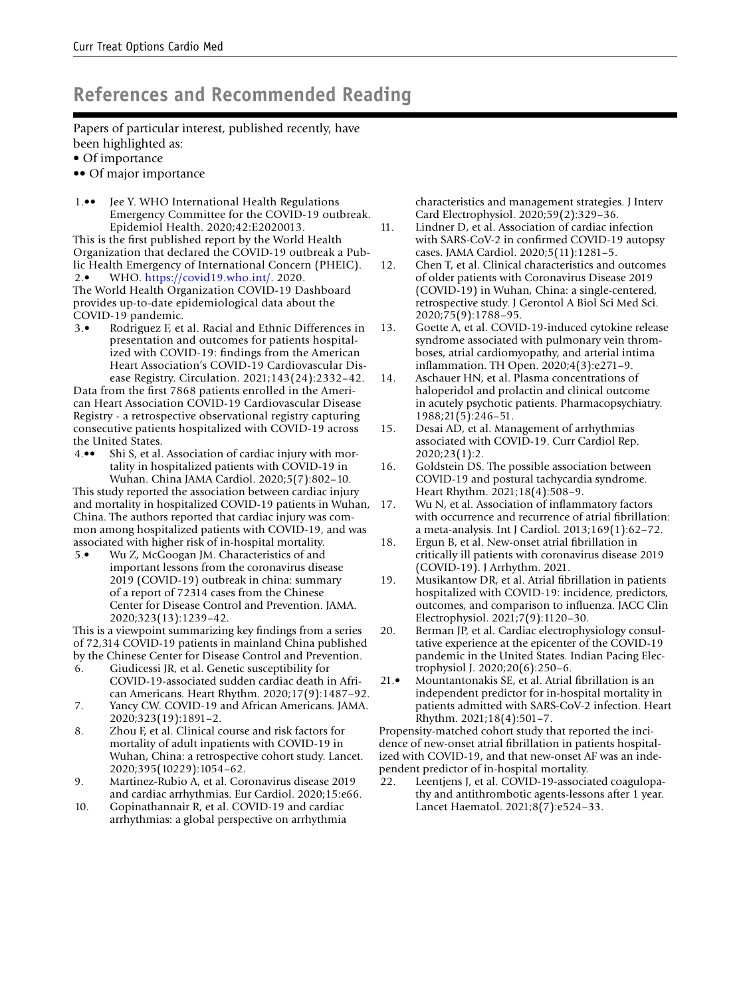### **References and Recommended Reading**

Papers of particular interest, published recently, have been highlighted as:

- Of importance
- •• Of major importance
- <span id="page-18-0"></span>Jee Y. WHO International Health Regulations Emergency Committee for the COVID-19 outbreak. Epidemiol Health. 2020;42:E2020013.

<span id="page-18-1"></span>This is the frst published report by the World Health Organization that declared the COVID-19 outbreak a Public Health Emergency of International Concern (PHEIC). 2.• WHO. [https://covid19.who.int/.](https://covid19.who.int/) 2020. The World Health Organization COVID-19 Dashboard provides up-to-date epidemiological data about the COVID-19 pandemic.

<span id="page-18-2"></span>3.• Rodriguez F, et al. Racial and Ethnic Differences in presentation and outcomes for patients hospitalized with COVID-19: fndings from the American Heart Association's COVID-19 Cardiovascular Disease Registry. Circulation. 2021;143(24):2332–42.

Data from the frst 7868 patients enrolled in the American Heart Association COVID-19 Cardiovascular Disease Registry - a retrospective observational registry capturing consecutive patients hospitalized with COVID-19 across the United States.

<span id="page-18-3"></span>4.•• Shi S, et al. Association of cardiac injury with mortality in hospitalized patients with COVID-19 in Wuhan. China JAMA Cardiol. 2020;5(7):802–10.

This study reported the association between cardiac injury and mortality in hospitalized COVID-19 patients in Wuhan, China. The authors reported that cardiac injury was common among hospitalized patients with COVID-19, and was associated with higher risk of in-hospital mortality.

<span id="page-18-4"></span>5.• Wu Z, McGoogan JM. Characteristics of and important lessons from the coronavirus disease 2019 (COVID-19) outbreak in china: summary of a report of 72314 cases from the Chinese Center for Disease Control and Prevention. JAMA. 2020;323(13):1239–42.

This is a viewpoint summarizing key fndings from a series of 72,314 COVID-19 patients in mainland China published by the Chinese Center for Disease Control and Prevention.

- <span id="page-18-5"></span>6. Giudicessi JR, et al. Genetic susceptibility for COVID-19-associated sudden cardiac death in African Americans. Heart Rhythm. 2020;17(9):1487–92.
- <span id="page-18-6"></span>7. Yancy CW. COVID-19 and African Americans. JAMA. 2020;323(19):1891–2.
- <span id="page-18-7"></span>8. Zhou F, et al. Clinical course and risk factors for mortality of adult inpatients with COVID-19 in Wuhan, China: a retrospective cohort study. Lancet. 2020;395(10229):1054–62.
- <span id="page-18-8"></span>9. Martinez-Rubio A, et al. Coronavirus disease 2019 and cardiac arrhythmias. Eur Cardiol. 2020;15:e66.
- <span id="page-18-9"></span>10. Gopinathannair R, et al. COVID-19 and cardiac arrhythmias: a global perspective on arrhythmia

characteristics and management strategies. J Interv Card Electrophysiol. 2020;59(2):329–36.

- <span id="page-18-10"></span>11. Lindner D, et al. Association of cardiac infection with SARS-CoV-2 in confrmed COVID-19 autopsy cases. JAMA Cardiol. 2020;5(11):1281–5.
- <span id="page-18-11"></span>12. Chen T, et al. Clinical characteristics and outcomes of older patients with Coronavirus Disease 2019 (COVID-19) in Wuhan, China: a single-centered, retrospective study. J Gerontol A Biol Sci Med Sci. 2020;75(9):1788–95.
- <span id="page-18-13"></span>13. Goette A, et al. COVID-19-induced cytokine release syndrome associated with pulmonary vein thromboses, atrial cardiomyopathy, and arterial intima infammation. TH Open. 2020;4(3):e271–9.
- <span id="page-18-14"></span>14. Aschauer HN, et al. Plasma concentrations of haloperidol and prolactin and clinical outcome in acutely psychotic patients. Pharmacopsychiatry. 1988;21(5):246–51.
- <span id="page-18-15"></span>15. Desai AD, et al. Management of arrhythmias associated with COVID-19. Curr Cardiol Rep. 2020;23(1):2.
- <span id="page-18-12"></span>16. Goldstein DS. The possible association between COVID-19 and postural tachycardia syndrome. Heart Rhythm. 2021;18(4):508–9.
- <span id="page-18-16"></span>17. Wu N, et al. Association of infammatory factors with occurrence and recurrence of atrial fbrillation: a meta-analysis. Int J Cardiol. 2013;169(1):62–72.
- <span id="page-18-17"></span>18. Ergun B, et al. New-onset atrial fbrillation in critically ill patients with coronavirus disease 2019 (COVID-19). J Arrhythm. 2021.
- <span id="page-18-18"></span>19. Musikantow DR, et al. Atrial fbrillation in patients hospitalized with COVID-19: incidence, predictors, outcomes, and comparison to infuenza. JACC Clin Electrophysiol. 2021;7(9):1120–30.
- <span id="page-18-19"></span>20. Berman JP, et al. Cardiac electrophysiology consultative experience at the epicenter of the COVID-19 pandemic in the United States. Indian Pacing Electrophysiol J. 2020;20(6):250–6.
- <span id="page-18-20"></span>21.• Mountantonakis SE, et al. Atrial fbrillation is an independent predictor for in-hospital mortality in patients admitted with SARS-CoV-2 infection. Heart Rhythm. 2021;18(4):501–7.

Propensity-matched cohort study that reported the incidence of new-onset atrial fbrillation in patients hospitalized with COVID-19, and that new-onset AF was an independent predictor of in-hospital mortality.

<span id="page-18-21"></span>22. Leentjens J, et al. COVID-19-associated coagulopathy and antithrombotic agents-lessons after 1 year. Lancet Haematol. 2021;8(7):e524–33.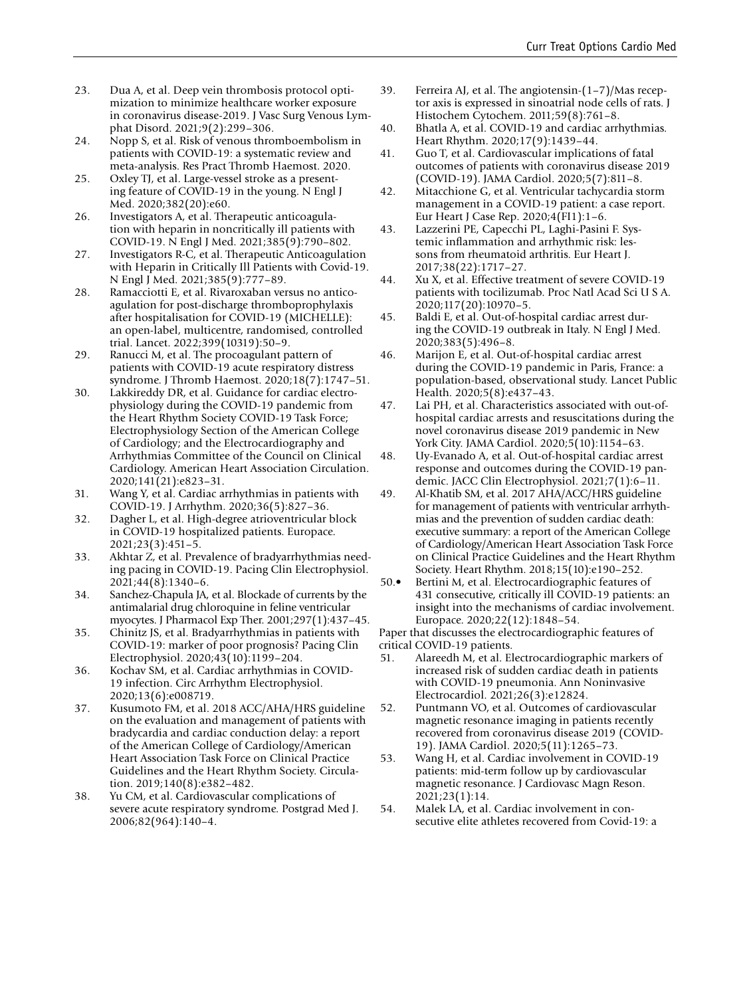- <span id="page-19-3"></span>23. Dua A, et al. Deep vein thrombosis protocol optimization to minimize healthcare worker exposure in coronavirus disease-2019. J Vasc Surg Venous Lymphat Disord. 2021;9(2):299–306.
- <span id="page-19-4"></span>24. Nopp S, et al. Risk of venous thromboembolism in patients with COVID-19: a systematic review and meta-analysis. Res Pract Thromb Haemost. 2020.
- <span id="page-19-5"></span>25. Oxley TJ, et al. Large-vessel stroke as a presenting feature of COVID-19 in the young. N Engl J Med. 2020;382(20):e60.
- <span id="page-19-6"></span>26. Investigators A, et al. Therapeutic anticoagulation with heparin in noncritically ill patients with COVID-19. N Engl J Med. 2021;385(9):790–802.
- <span id="page-19-7"></span>27. Investigators R-C, et al. Therapeutic Anticoagulation with Heparin in Critically Ill Patients with Covid-19. N Engl J Med. 2021;385(9):777–89.
- <span id="page-19-8"></span>28. Ramacciotti E, et al. Rivaroxaban versus no anticoagulation for post-discharge thromboprophylaxis after hospitalisation for COVID-19 (MICHELLE): an open-label, multicentre, randomised, controlled trial. Lancet. 2022;399(10319):50–9.
- <span id="page-19-9"></span>29. Ranucci M, et al. The procoagulant pattern of patients with COVID-19 acute respiratory distress syndrome. J Thromb Haemost. 2020;18(7):1747–51.
- <span id="page-19-10"></span>30. Lakkireddy DR, et al. Guidance for cardiac electrophysiology during the COVID-19 pandemic from the Heart Rhythm Society COVID-19 Task Force; Electrophysiology Section of the American College of Cardiology; and the Electrocardiography and Arrhythmias Committee of the Council on Clinical Cardiology. American Heart Association Circulation. 2020;141(21):e823–31.
- <span id="page-19-11"></span>31. Wang Y, et al. Cardiac arrhythmias in patients with COVID-19. J Arrhythm. 2020;36(5):827–36.
- <span id="page-19-0"></span>32. Dagher L, et al. High-degree atrioventricular block in COVID-19 hospitalized patients. Europace. 2021;23(3):451–5.
- <span id="page-19-1"></span>33. Akhtar Z, et al. Prevalence of bradyarrhythmias needing pacing in COVID-19. Pacing Clin Electrophysiol. 2021;44(8):1340–6.
- <span id="page-19-12"></span>34. Sanchez-Chapula JA, et al. Blockade of currents by the antimalarial drug chloroquine in feline ventricular myocytes. J Pharmacol Exp Ther. 2001;297(1):437–45.
- <span id="page-19-2"></span>35. Chinitz JS, et al. Bradyarrhythmias in patients with COVID-19: marker of poor prognosis? Pacing Clin Electrophysiol. 2020;43(10):1199–204.
- <span id="page-19-13"></span>36. Kochav SM, et al. Cardiac arrhythmias in COVID-19 infection. Circ Arrhythm Electrophysiol. 2020;13(6):e008719.
- <span id="page-19-14"></span>37. Kusumoto FM, et al. 2018 ACC/AHA/HRS guideline on the evaluation and management of patients with bradycardia and cardiac conduction delay: a report of the American College of Cardiology/American Heart Association Task Force on Clinical Practice Guidelines and the Heart Rhythm Society. Circulation. 2019;140(8):e382–482.
- <span id="page-19-15"></span>38. Yu CM, et al. Cardiovascular complications of severe acute respiratory syndrome. Postgrad Med J. 2006;82(964):140–4.
- <span id="page-19-16"></span>39. Ferreira AJ, et al. The angiotensin-(1–7)/Mas receptor axis is expressed in sinoatrial node cells of rats. J Histochem Cytochem. 2011;59(8):761–8.
- <span id="page-19-17"></span>40. Bhatla A, et al. COVID-19 and cardiac arrhythmias. Heart Rhythm. 2020;17(9):1439–44.
- <span id="page-19-18"></span>41. Guo T, et al. Cardiovascular implications of fatal outcomes of patients with coronavirus disease 2019 (COVID-19). JAMA Cardiol. 2020;5(7):811–8.
- <span id="page-19-19"></span>42. Mitacchione G, et al. Ventricular tachycardia storm management in a COVID-19 patient: a case report. Eur Heart J Case Rep. 2020;4(FI1):1–6.
- <span id="page-19-20"></span>43. Lazzerini PE, Capecchi PL, Laghi-Pasini F. Systemic infammation and arrhythmic risk: lessons from rheumatoid arthritis. Eur Heart J. 2017;38(22):1717–27.
- <span id="page-19-21"></span>44. Xu X, et al. Effective treatment of severe COVID-19 patients with tocilizumab. Proc Natl Acad Sci U S A. 2020;117(20):10970–5.
- <span id="page-19-22"></span>45. Baldi E, et al. Out-of-hospital cardiac arrest during the COVID-19 outbreak in Italy. N Engl J Med. 2020;383(5):496–8.
- <span id="page-19-23"></span>46. Marijon E, et al. Out-of-hospital cardiac arrest during the COVID-19 pandemic in Paris, France: a population-based, observational study. Lancet Public Health. 2020;5(8):e437–43.
- <span id="page-19-24"></span>47. Lai PH, et al. Characteristics associated with out-ofhospital cardiac arrests and resuscitations during the novel coronavirus disease 2019 pandemic in New York City. JAMA Cardiol. 2020;5(10):1154–63.
- <span id="page-19-25"></span>48. Uy-Evanado A, et al. Out-of-hospital cardiac arrest response and outcomes during the COVID-19 pandemic. JACC Clin Electrophysiol. 2021;7(1):6–11.
- <span id="page-19-26"></span>49. Al-Khatib SM, et al. 2017 AHA/ACC/HRS guideline for management of patients with ventricular arrhythmias and the prevention of sudden cardiac death: executive summary: a report of the American College of Cardiology/American Heart Association Task Force on Clinical Practice Guidelines and the Heart Rhythm Society. Heart Rhythm. 2018;15(10):e190–252.
- <span id="page-19-27"></span>50.• Bertini M, et al. Electrocardiographic features of 431 consecutive, critically ill COVID-19 patients: an insight into the mechanisms of cardiac involvement. Europace. 2020;22(12):1848–54.

Paper that discusses the electrocardiographic features of critical COVID-19 patients.

- <span id="page-19-28"></span>51. Alareedh M, et al. Electrocardiographic markers of increased risk of sudden cardiac death in patients with COVID-19 pneumonia. Ann Noninvasive Electrocardiol. 2021;26(3):e12824.
- <span id="page-19-29"></span>52. Puntmann VO, et al. Outcomes of cardiovascular magnetic resonance imaging in patients recently recovered from coronavirus disease 2019 (COVID-19). JAMA Cardiol. 2020;5(11):1265–73.
- <span id="page-19-30"></span>53. Wang H, et al. Cardiac involvement in COVID-19 patients: mid-term follow up by cardiovascular magnetic resonance. J Cardiovasc Magn Reson. 2021;23(1):14.
- <span id="page-19-31"></span>54. Malek LA, et al. Cardiac involvement in consecutive elite athletes recovered from Covid-19: a